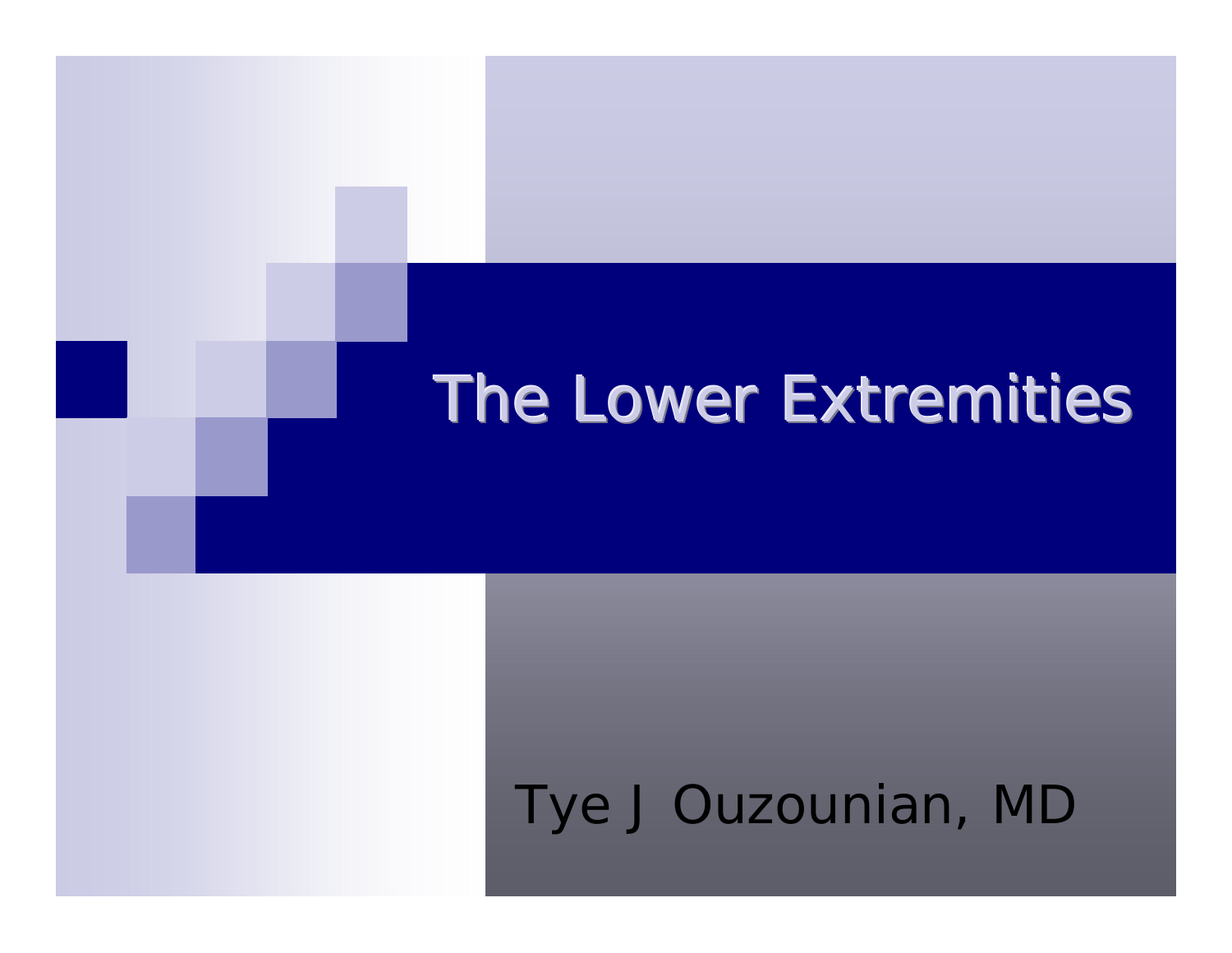## Tye J Ouzounian, MD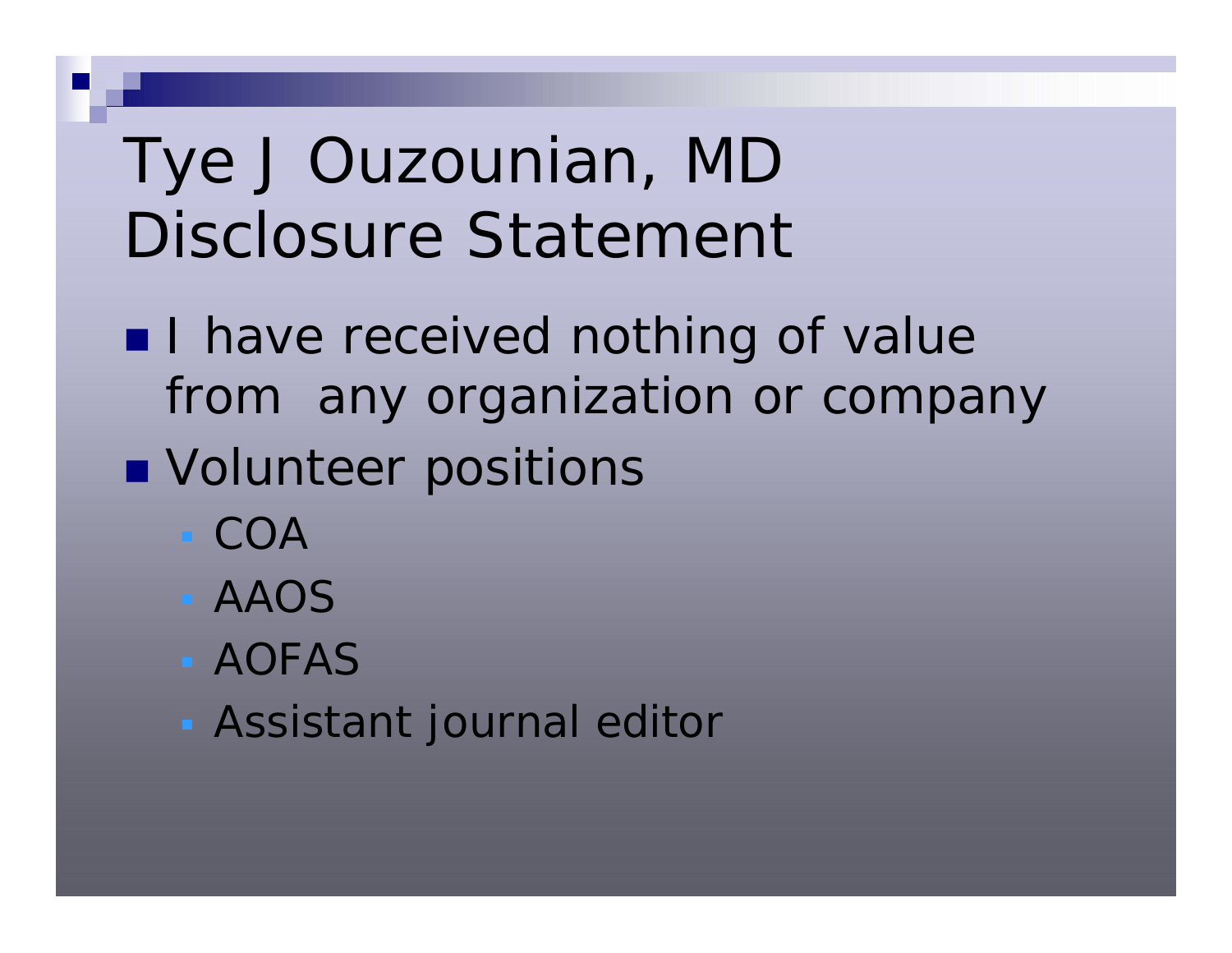# Tye J Ouzounian, MD Disclosure Statement

- **I** have received nothing of value from any organization or company
- **Nolunteer positions** 
	- $\blacksquare$  COA
	- AAOS
	- **AOFAS**
	- Assistant journal editor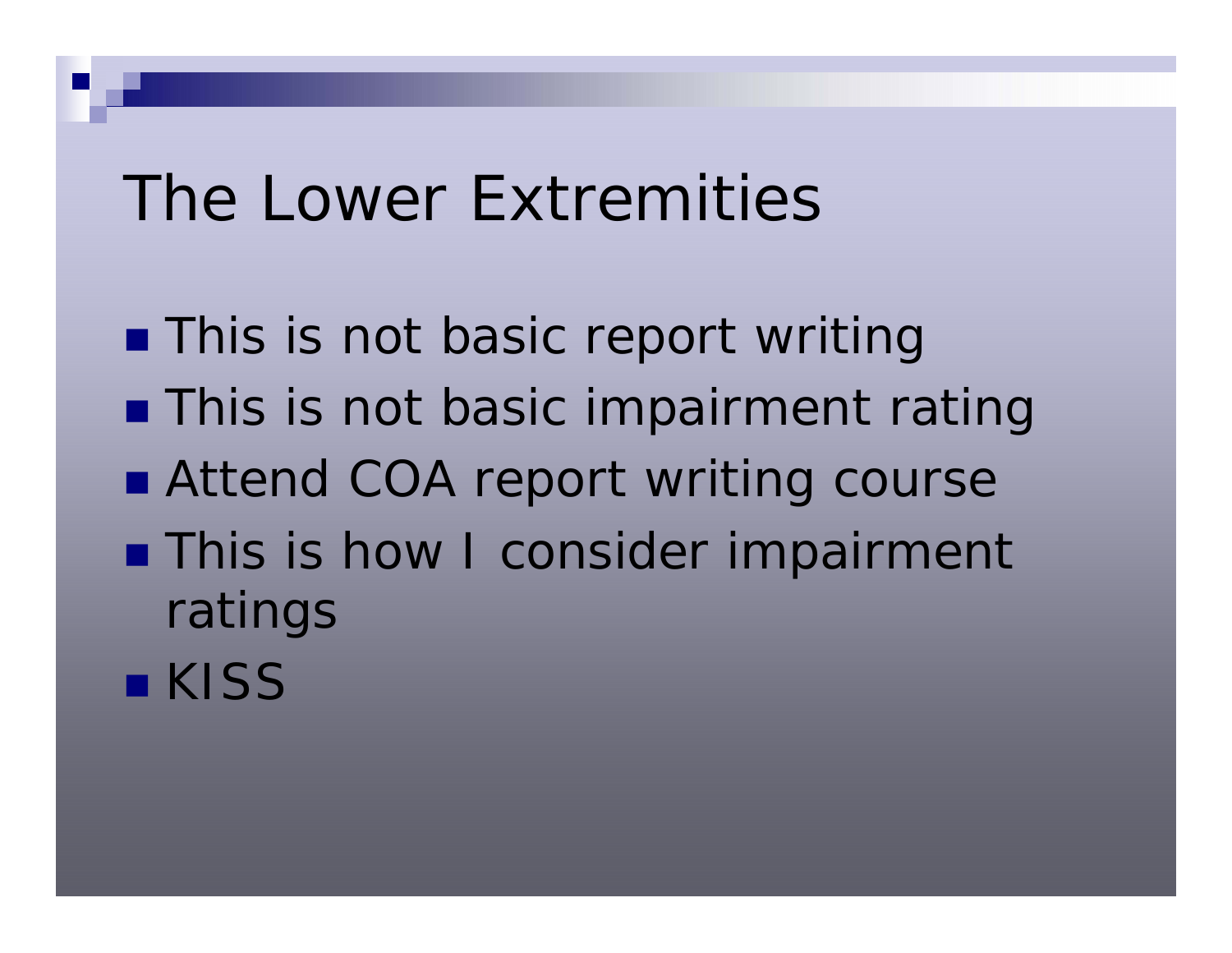**This is not basic report writing This is not basic impairment rating** ■ Attend COA report writing course **This is how I consider impairment** ratings **E** KISS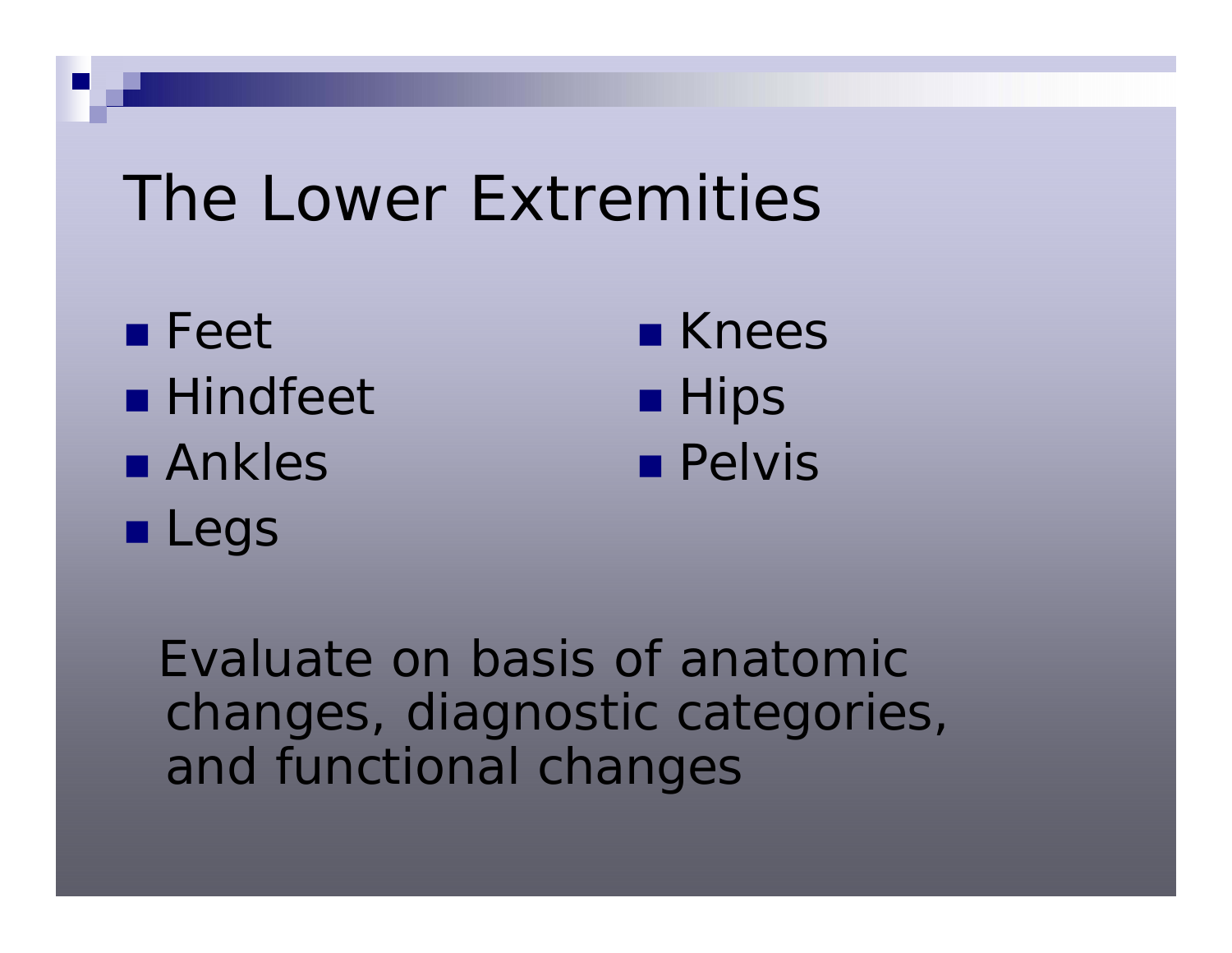■ Feet **Hindfeet** ■ Ankles **Legs** 

■ Knees  $\blacksquare$  Hips **Pelvis** 

Evaluate on basis of anatomic changes, diagnostic categories, and functional changes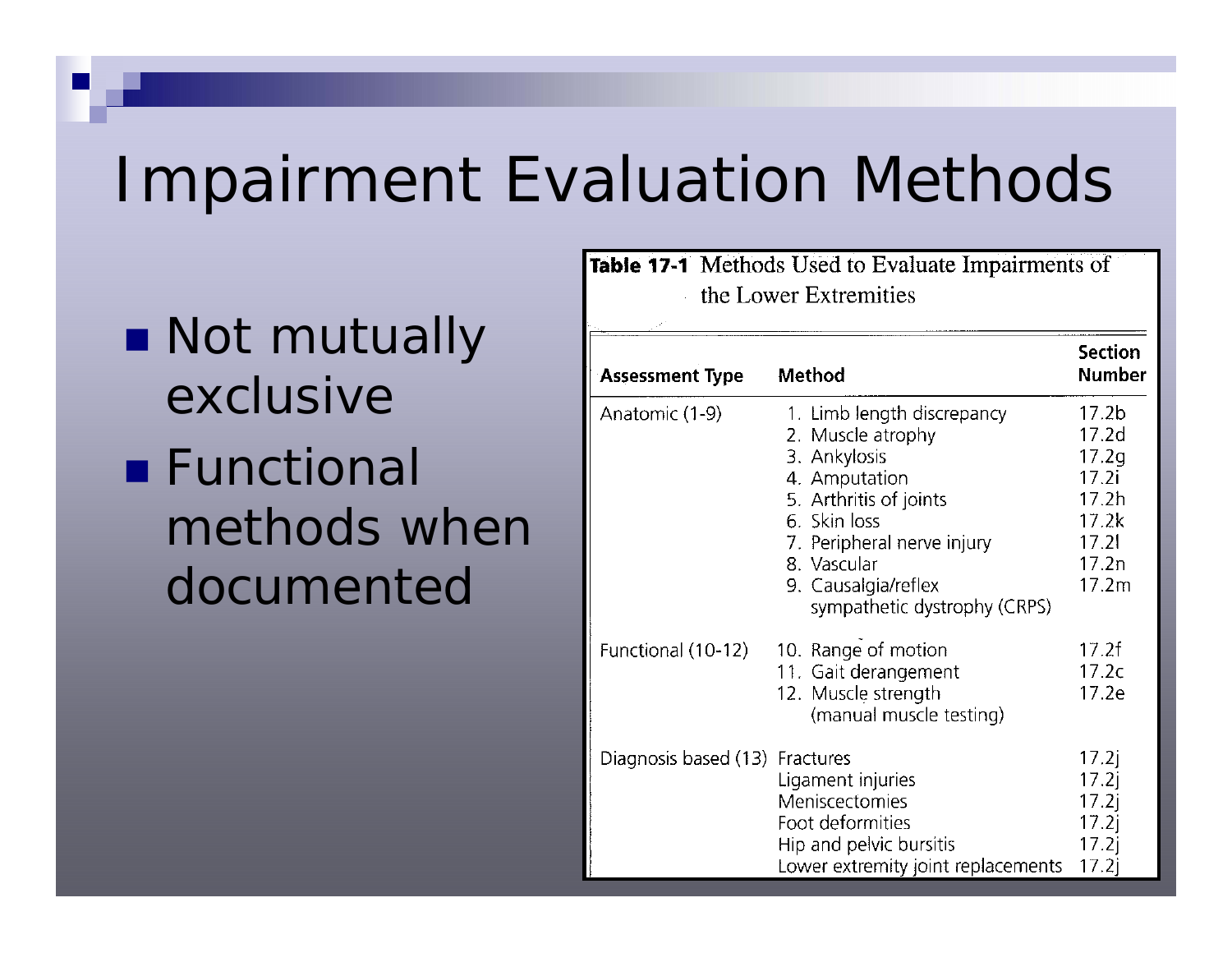## Impairment Evaluation Methods

**Not mutually** exclusive■ Functional methods when documented

**Table 17-1** Methods Used to Evaluate Impairments of the Lower Extremities

| <b>Assessment Type</b>         | Method                                                                                                                                                                                                                         | <b>Section</b><br><b>Number</b>                                                                       |
|--------------------------------|--------------------------------------------------------------------------------------------------------------------------------------------------------------------------------------------------------------------------------|-------------------------------------------------------------------------------------------------------|
| Anatomic (1-9)                 | 1. Limb length discrepancy<br>2. Muscle atrophy<br>3. Ankylosis<br>4. Amputation<br>5. Arthritis of joints<br>6. Skin loss<br>7. Peripheral nerve injury<br>8. Vascular<br>9. Causalgia/reflex<br>sympathetic dystrophy (CRPS) | 17.2 <sub>b</sub><br>17.2 <sub>d</sub><br>17.2q<br>17.2i<br>17.2h<br>17.2k<br>17.21<br>17.2n<br>17.2m |
| Functional (10-12)             | 10. Range of motion<br>11. Gait derangement<br>12. Muscle strength<br>(manual muscle testing)                                                                                                                                  | 17.2f<br>17.2c<br>17.2e                                                                               |
| Diagnosis based (13) Fractures | Ligament injuries<br>Meniscectomies<br>Foot deformities<br>Hip and pelvic bursitis<br>Lower extremity joint replacements                                                                                                       | 17.2j<br>17.2j<br>17.2<br>17.2j<br>17.2j<br>17.2i                                                     |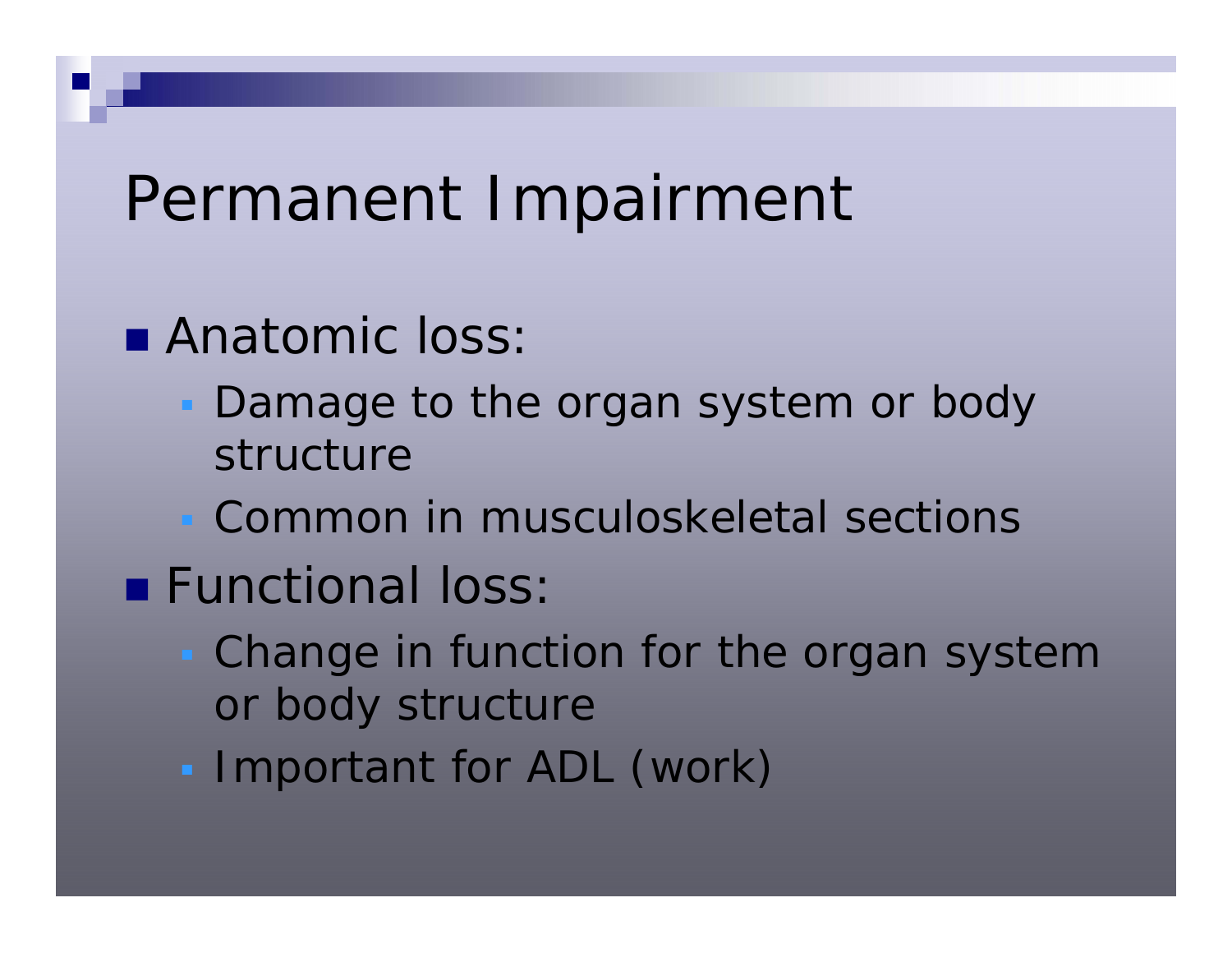## Permanent Impairment

- **Anatomic loss** 
	- **Damage to the organ system or body** structure
	- Common in musculoskeletal sections
- **Functional loss** 
	- **Change in function for the organ system** or body structure
	- **Important for ADL (work)**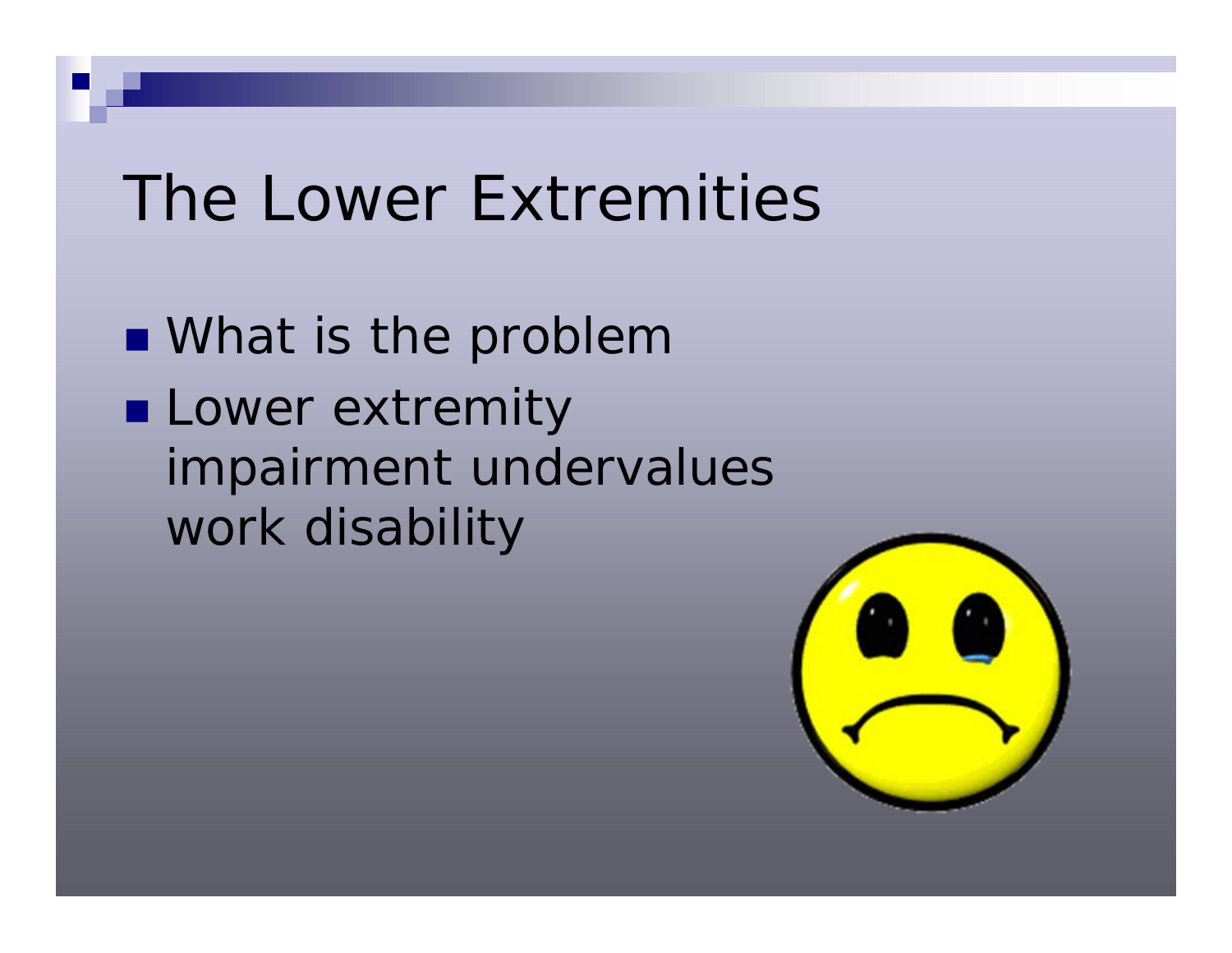**Nhat is the problem Lower extremity** impairment undervalues work disability

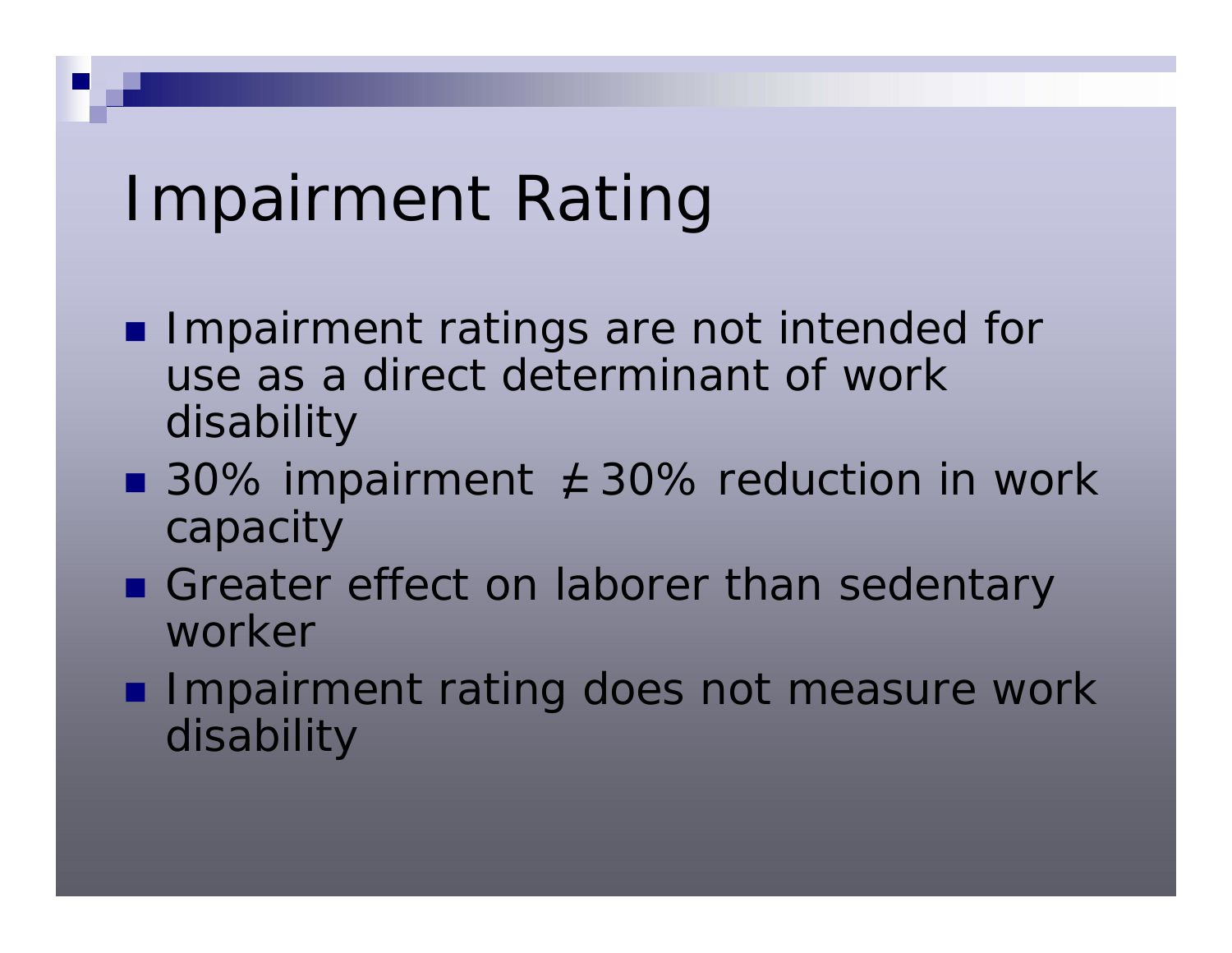## Impairment Rating

- **I** Impairment ratings are not intended for use as a direct determinant of work disability
- 30% impairment  $\angle$  30% reduction in work capacity
- Greater effect on laborer than sedentary worker
- **Impairment rating does not measure work** disability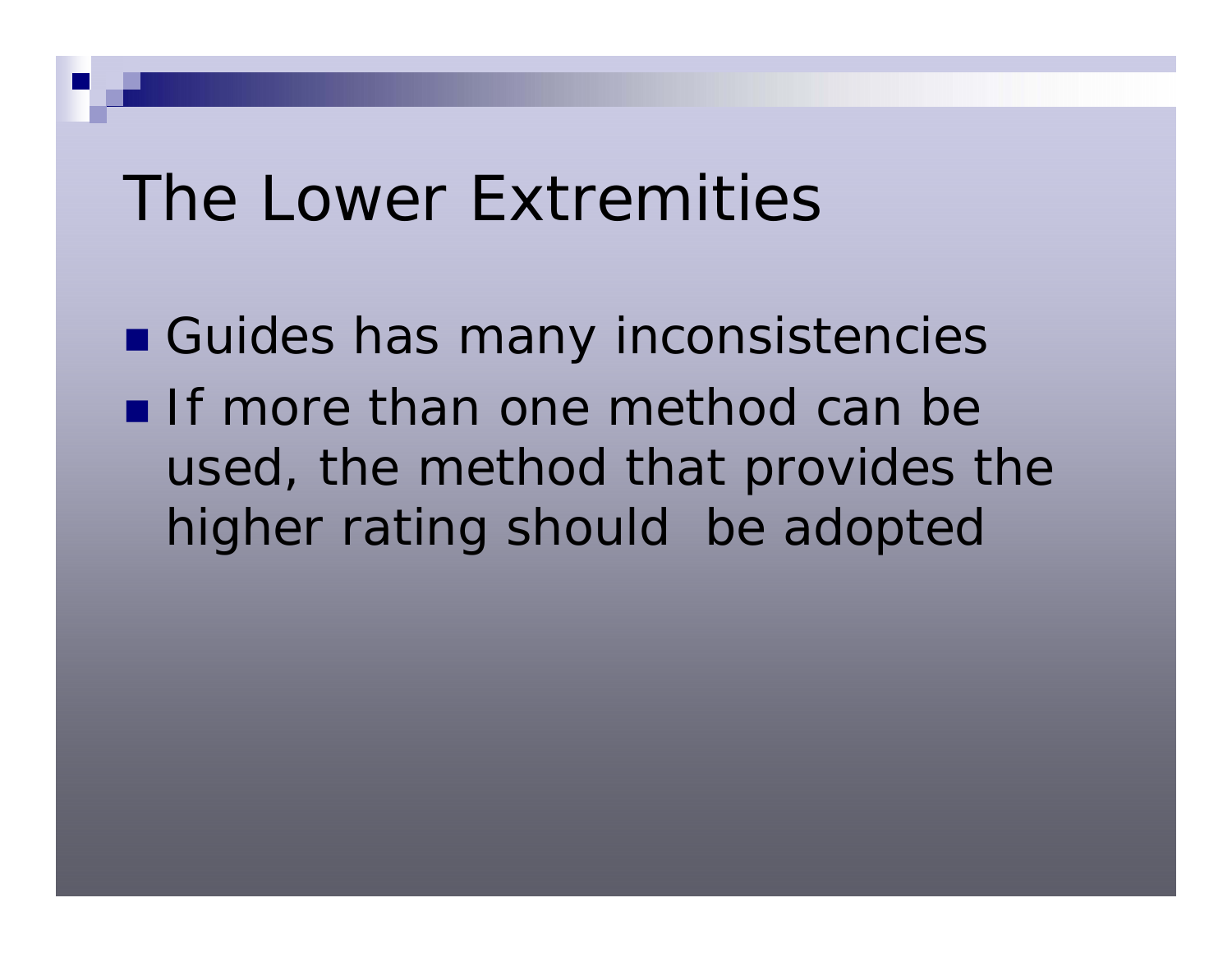**E** Guides has many inconsistencies If more than one method can be used, the method that provides the higher rating should be adopted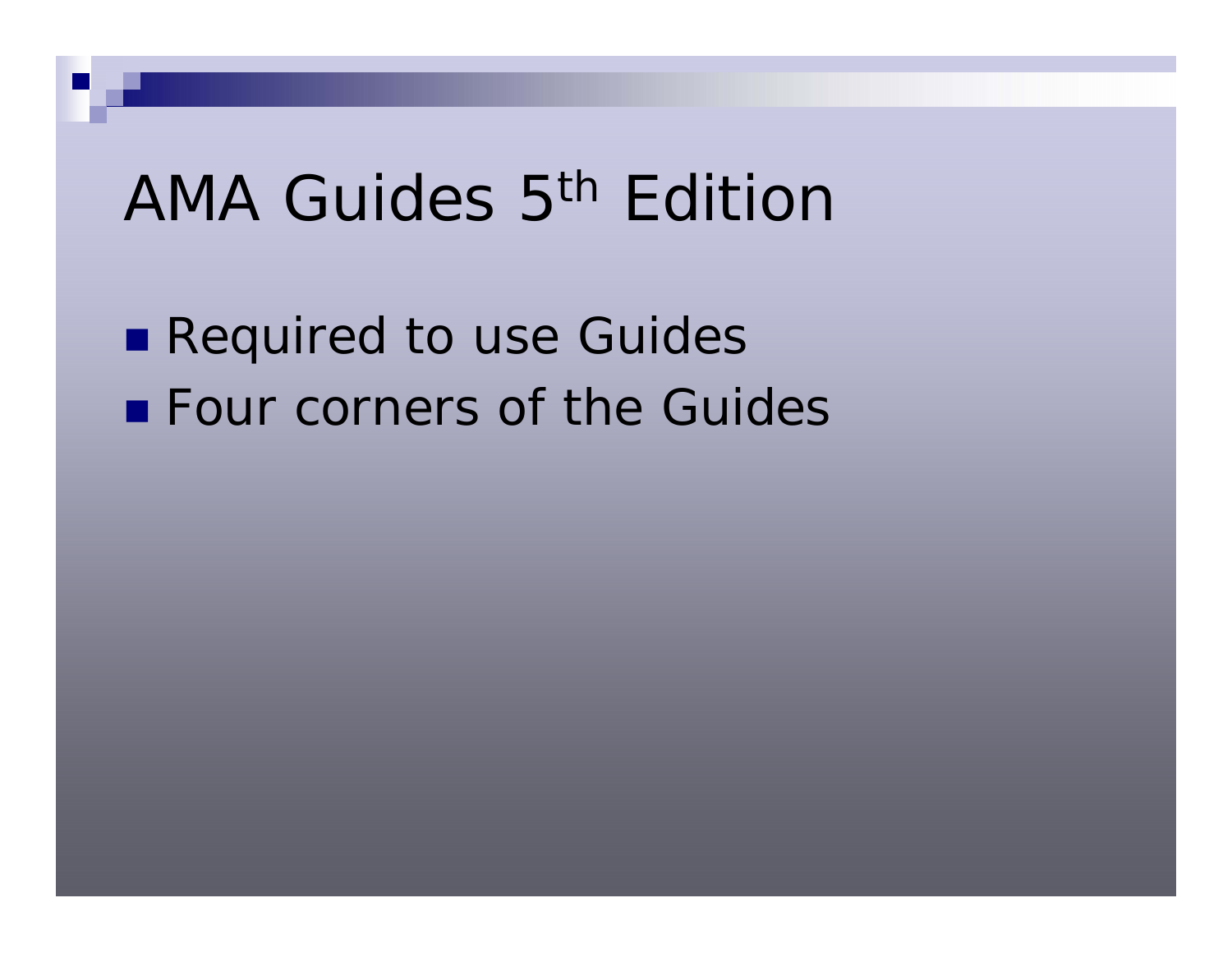## AMA Guides 5<sup>th</sup> Edition

**Required to use Guides Example Four corners of the Guides**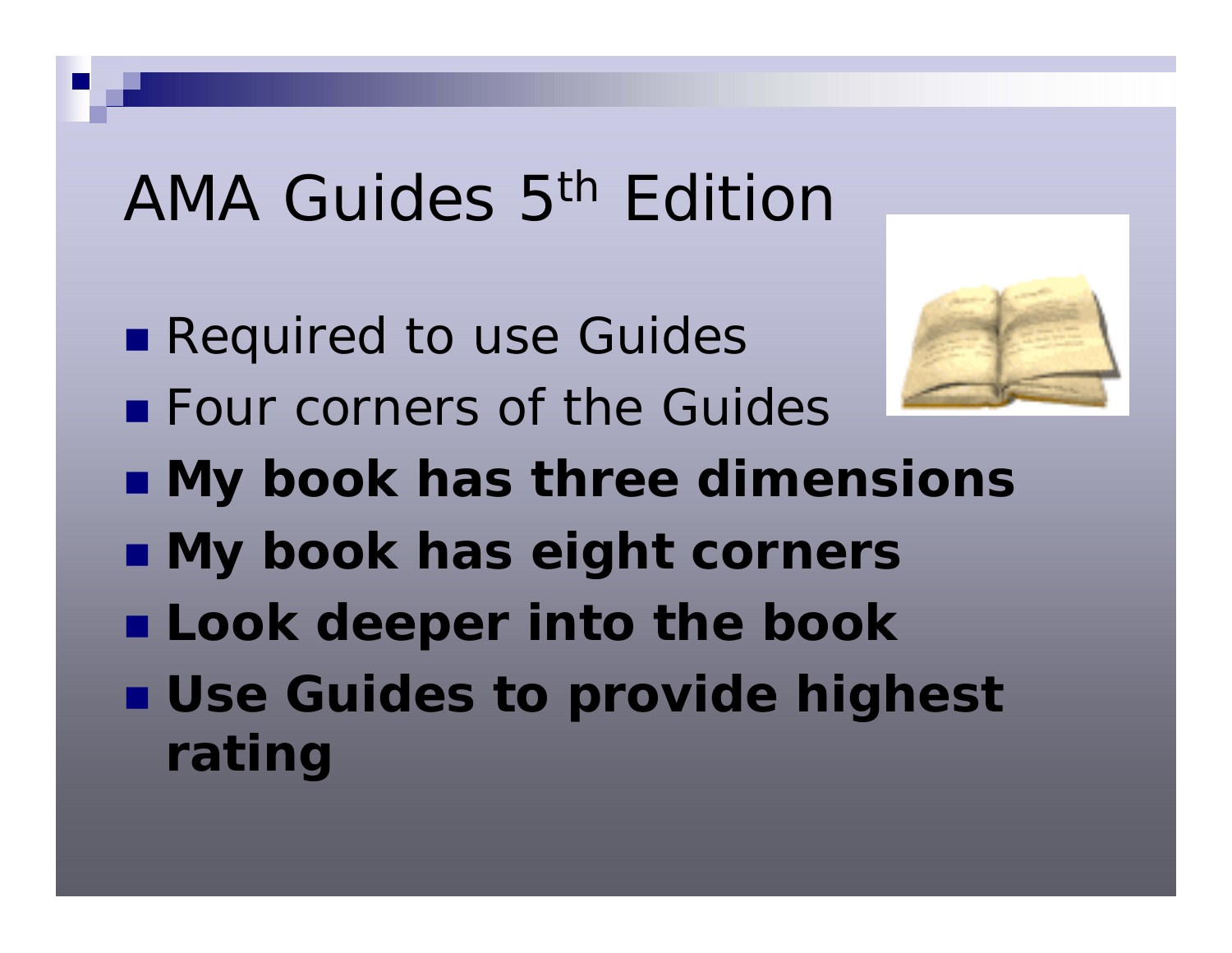## AMA Guides 5th Edition

- **Required to use Guides**
- **Example Four corners of the Guides**



- **My book has three dimensions**
- **My book has eight corners**
- **Look deeper into the book**
- **Use Guides to provide highest rating**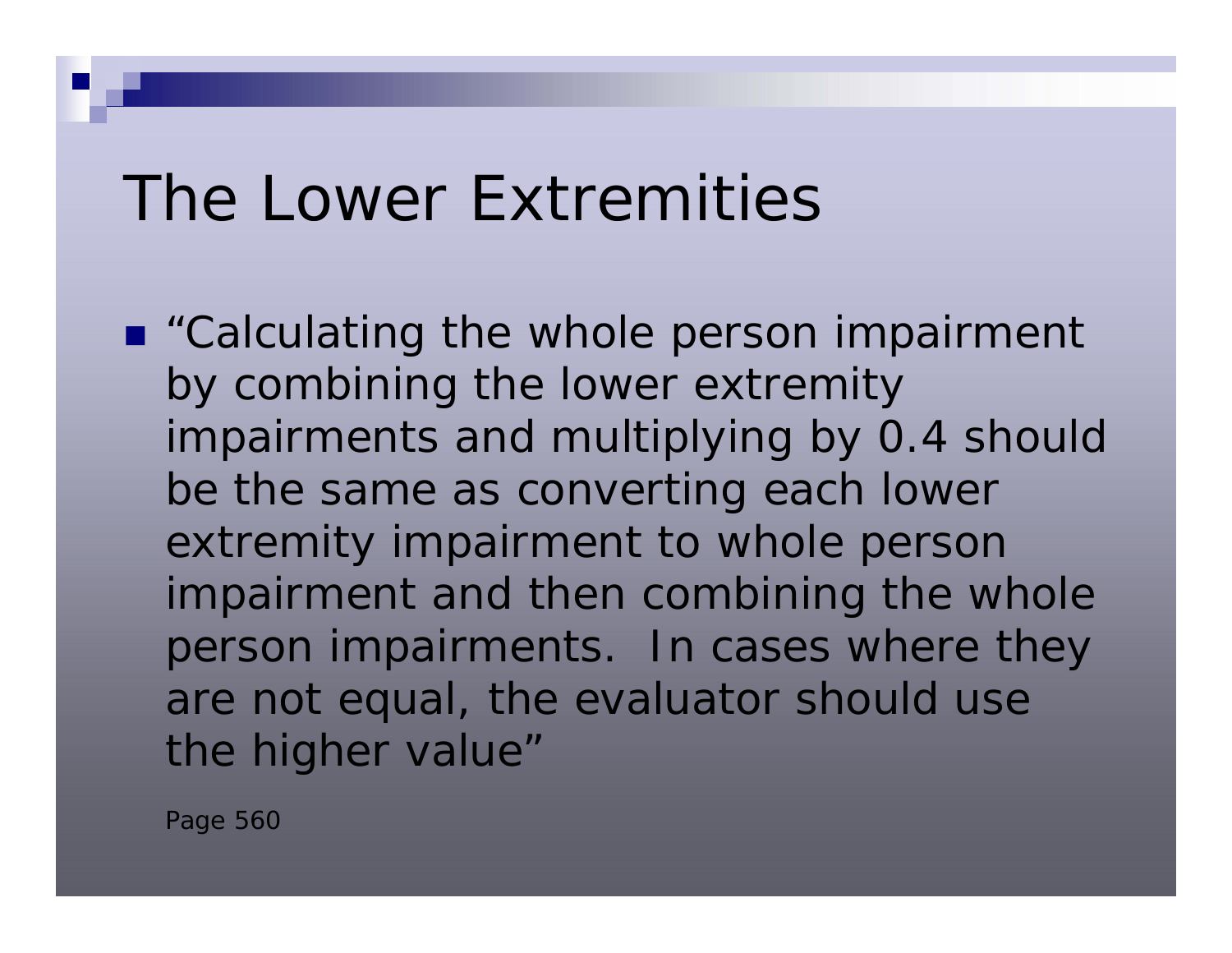■ "Calculating the whole person impairment by combining the lower extremity impairments and multiplying by 0.4 should be the same as converting each lower extremity impairment to whole person impairment and then combining the whole person impairments. In cases where they are not equal, the evaluator should use the higher value"

Page 560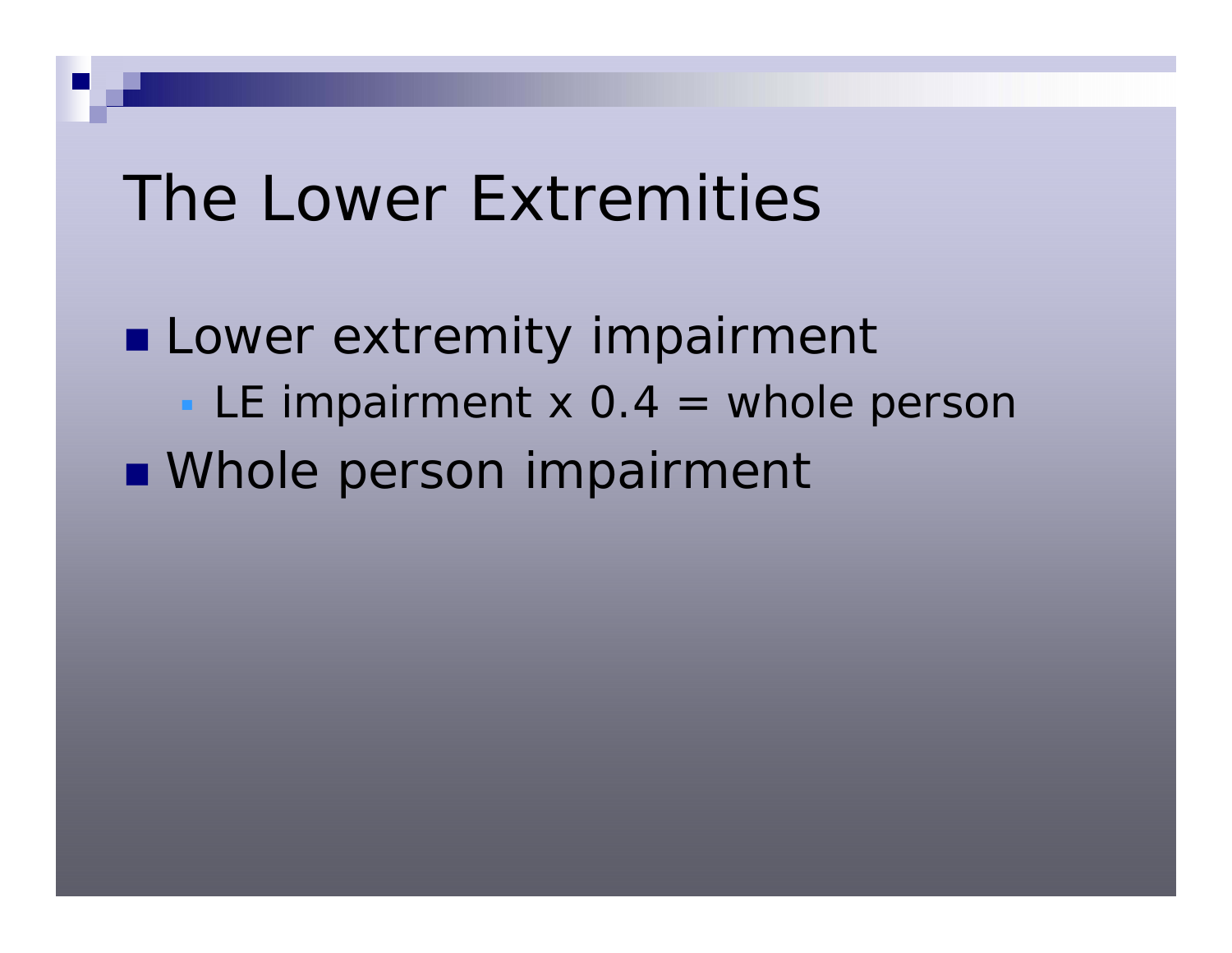**Lower extremity impairment** LE impairment  $x$  0.4 = whole persor **Number Denson impairment**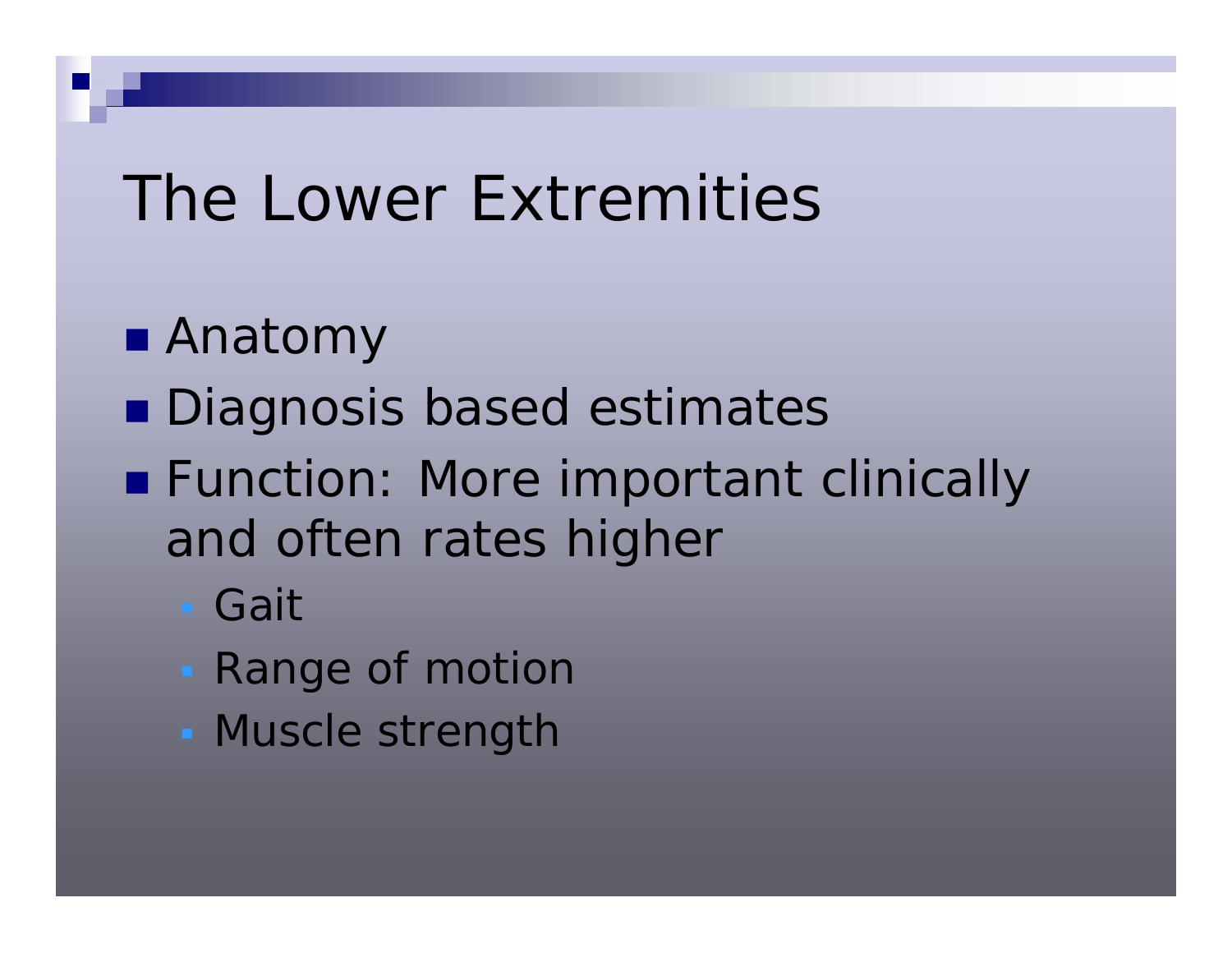- Anatomy
- **Diagnosis based estimates**
- **Function: More important clinically** and often rates higher
	- Gait
	- **Range of motion**
	- **Muscle strength**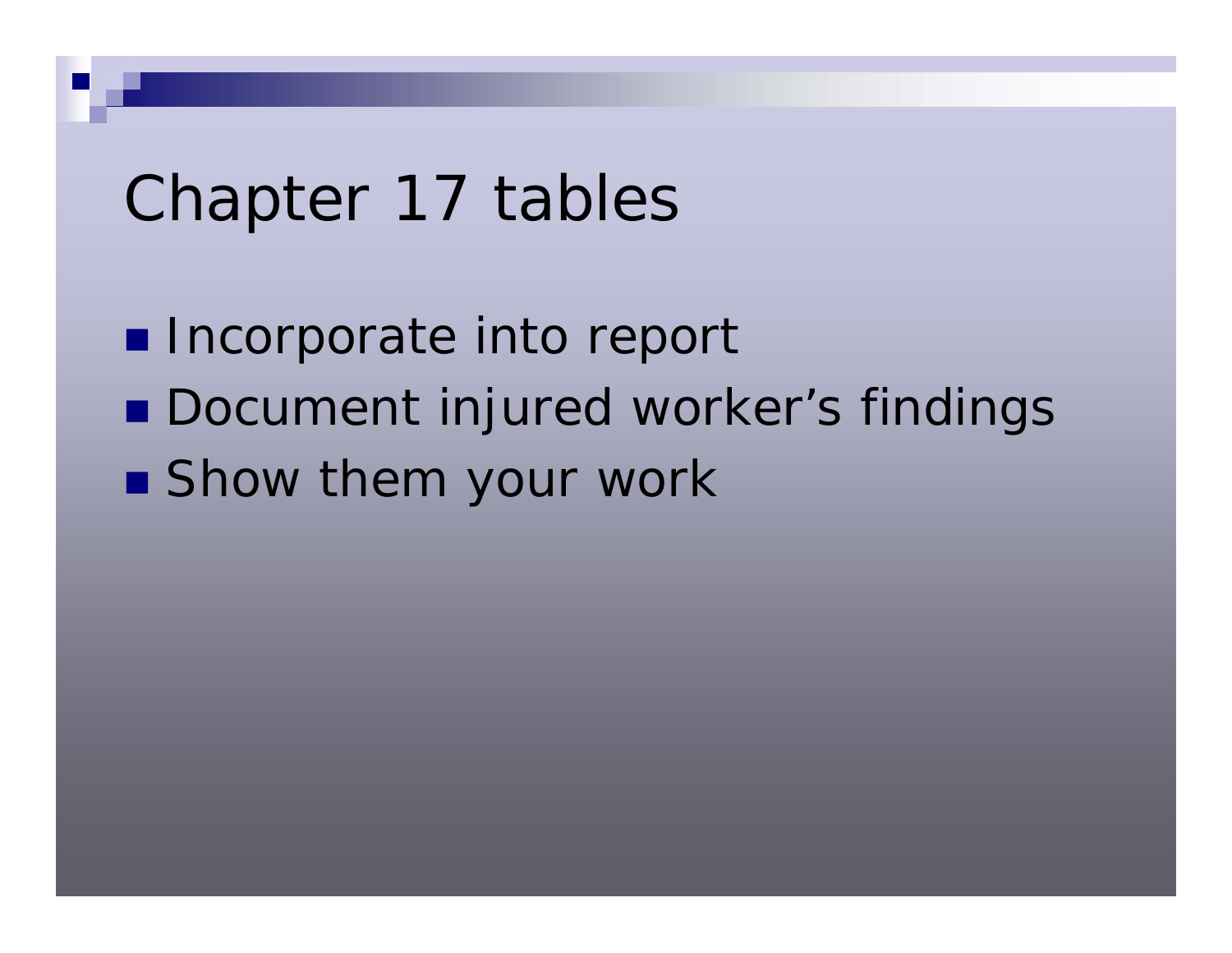## Chapter 17 tables

**Incorporate into report** ■ Document injured worker's findings **Show them your work**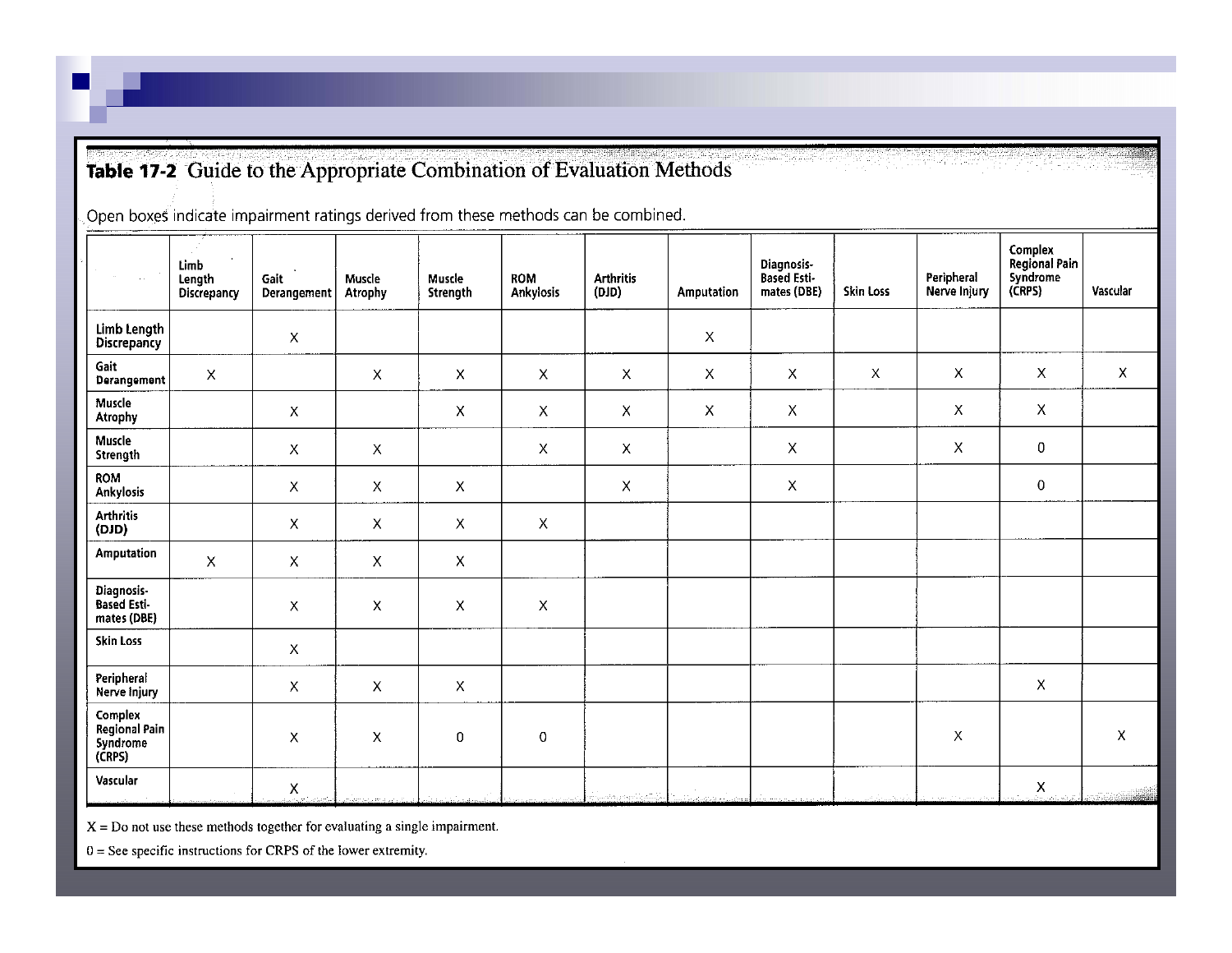#### Table 17-2 Guide to the Appropriate Combination of Evaluation Methods

Open boxes indicate impairment ratings derived from these methods can be combined.

| $\sim$ $\sim$                                  | $\sim$<br>Limb<br>Length<br>Discrepancy | Gait<br>Derangement       | Muscle<br>Atrophy | Muscle<br><b>Strength</b> | <b>ROM</b><br>Ankylosis   | <b>Arthritis</b><br>(010) | Amputation                | Diagnosis-<br>Based Esti-<br>mates (DBE) | Skin Loss   | Peripheral<br>Nerve Injury | Complex<br>Regional Pain<br>Syndrome<br>(CRPS) | Vascular    |
|------------------------------------------------|-----------------------------------------|---------------------------|-------------------|---------------------------|---------------------------|---------------------------|---------------------------|------------------------------------------|-------------|----------------------------|------------------------------------------------|-------------|
| Limb Length<br>Discrepancy                     |                                         | X                         |                   |                           |                           |                           | $\boldsymbol{\mathsf{X}}$ |                                          |             |                            |                                                |             |
| Gait<br>Derangement                            | X                                       |                           | $\mathsf X$       | $\boldsymbol{\mathsf{X}}$ | Χ                         | $\boldsymbol{\mathsf{X}}$ | X                         | X                                        | $\mathsf X$ | $\mathsf{X}$               | $\boldsymbol{\mathsf{X}}$                      | $\mathsf X$ |
| Muscle<br><b>Atrophy</b>                       |                                         | $\mathsf X$               |                   | X                         | Χ                         | X                         | $\boldsymbol{\mathsf{X}}$ | X                                        |             | $\mathsf X$                | $\pmb{\times}$                                 |             |
| Muscle<br>Strength                             |                                         | $\mathsf X$               | $\mathsf X$       |                           | $\pmb{\mathsf{X}}$        | $\mathsf X$               |                           | $\mathsf X$                              |             | $\mathsf X$                | $\boldsymbol{0}$                               |             |
| <b>ROM</b><br>Ankylosis                        |                                         | $\pmb{\times}$            | $\mathsf X$       | $\mathsf X$               |                           | $\boldsymbol{\mathsf{X}}$ |                           | $\mathsf X$                              |             |                            | $\,0\,$                                        |             |
| <b>Arthritis</b><br>(OID)                      |                                         | $\boldsymbol{\mathsf{X}}$ | $\mathsf X$       | X                         | $\mathsf X$               |                           |                           |                                          |             |                            |                                                |             |
| Amputation                                     | $\mathsf X$                             | $\boldsymbol{\mathsf{X}}$ | $\pmb{\times}$    | $\mathsf X$               |                           |                           |                           |                                          |             |                            |                                                |             |
| Diagnosis-<br>Based Esti-<br>mates (DBE)       |                                         | $\mathsf X$               | $\pmb{\times}$    | X                         | $\boldsymbol{\mathsf{X}}$ |                           |                           |                                          |             |                            |                                                |             |
| <b>Skin Loss</b>                               |                                         | $\mathsf X$               |                   |                           |                           |                           |                           |                                          |             |                            |                                                |             |
| Peripheral<br>Nerve injury                     |                                         | $\boldsymbol{\mathsf{X}}$ | $\mathsf X$       | Χ                         |                           |                           |                           |                                          |             |                            | $\mathsf{X}$                                   |             |
| Complex<br>Regional Pain<br>Syndrome<br>(CRPS) |                                         | $\boldsymbol{\mathsf{X}}$ | X                 | 0                         | 0                         |                           |                           |                                          |             | Χ                          |                                                | Χ           |
| Vascular                                       |                                         | $\mathsf X$               |                   |                           |                           | بأرستم بالجومي معجبيان    |                           |                                          |             |                            | $\pmb{\times}$                                 |             |

 $X = Do$  not use these methods together for evaluating a single impairment.

 $0 =$  See specific instructions for CRPS of the lower extremity.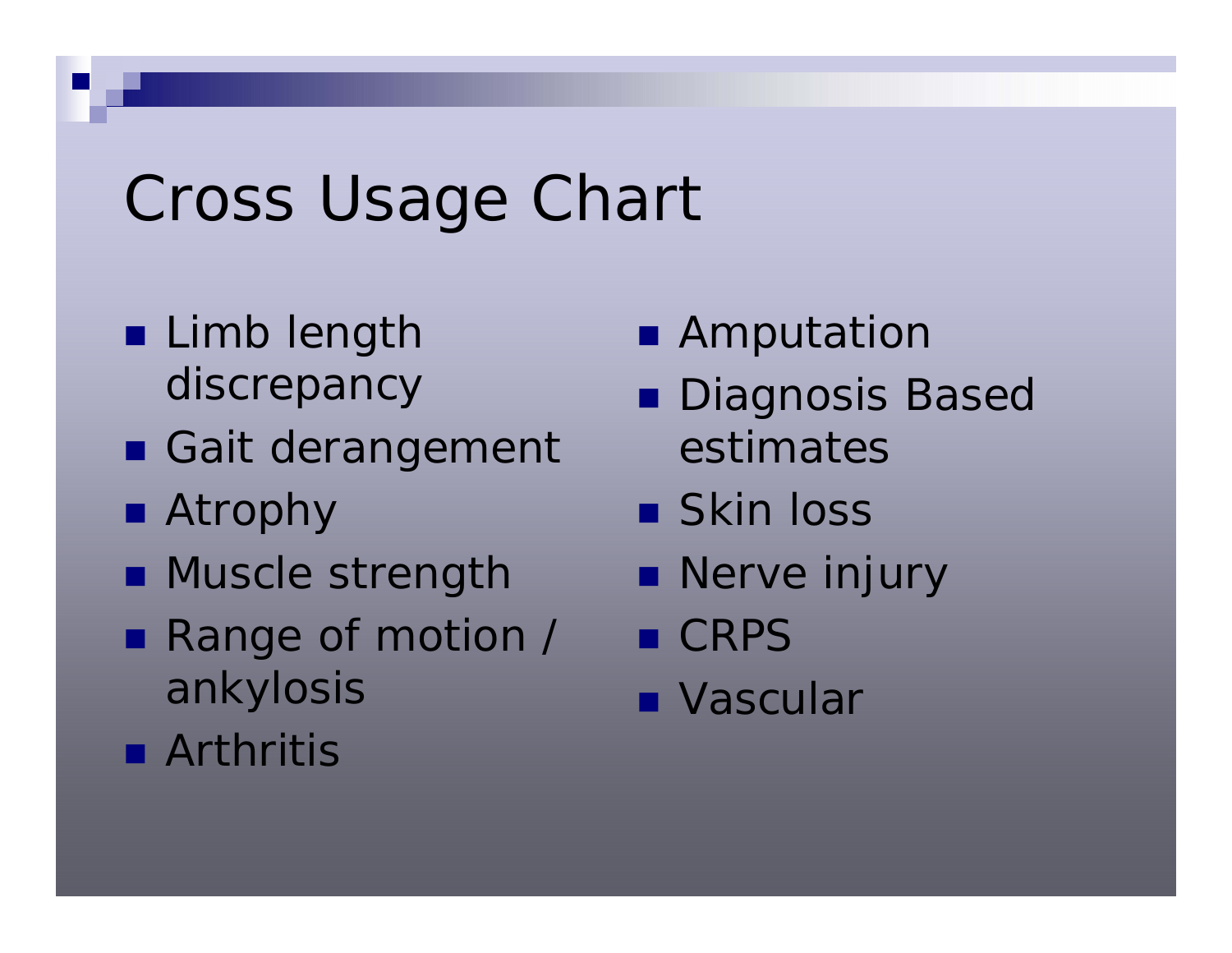# Cross Usage Chart

- **Limb length** discrepancy
- Gait derangement
- Atrophy
- **Muscle strength**
- Range of motion / ankylosis
- **Amputation**
- Diagnosis Based estimates
- Skin loss
- **Nerve injury**
- CRPS
- Vascular

**R** Arthritis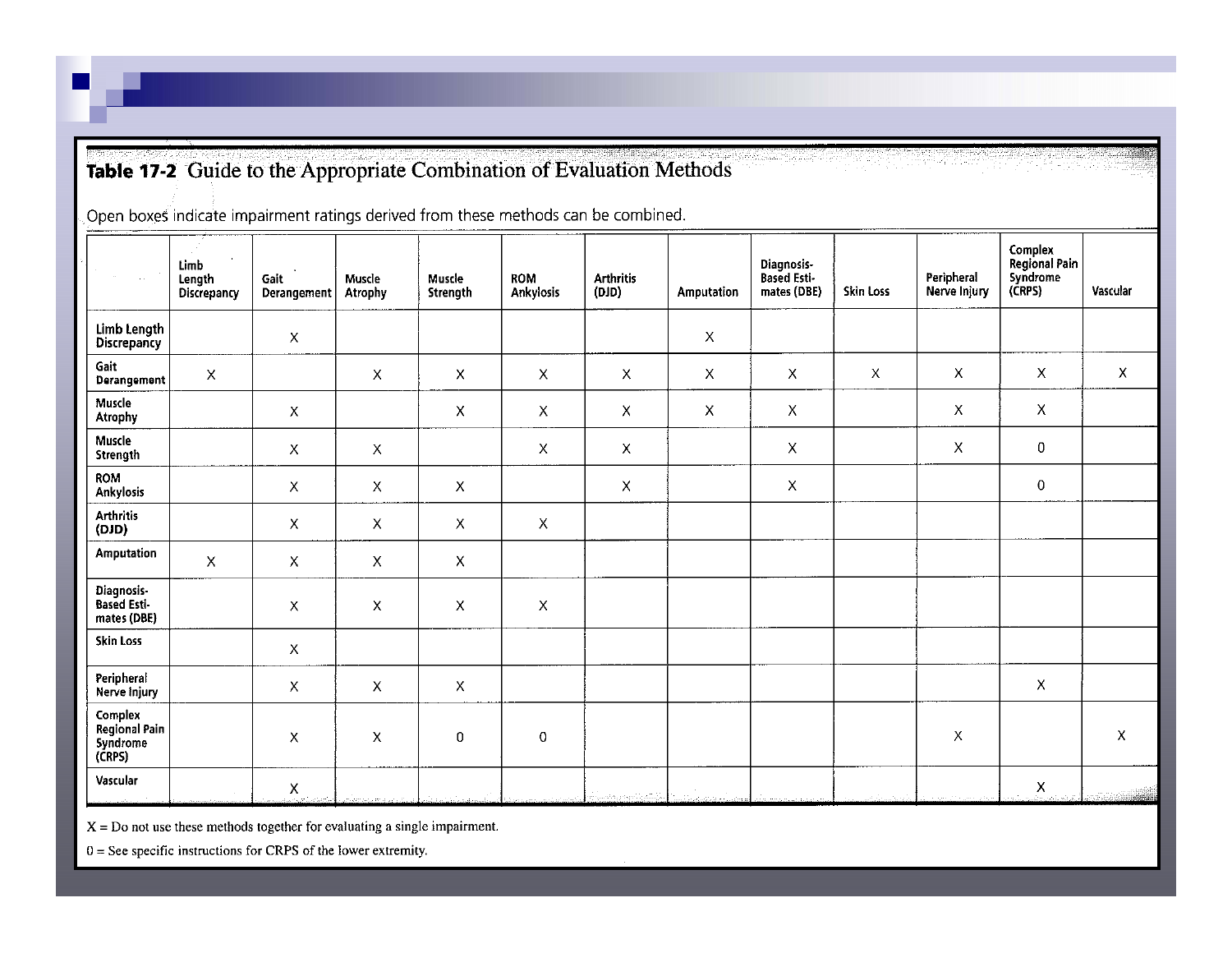#### Table 17-2 Guide to the Appropriate Combination of Evaluation Methods

Open boxes indicate impairment ratings derived from these methods can be combined.

| $\sim$ $\sim$                                  | $\sim$<br>Limb<br>Length<br>Discrepancy | Gait<br>Derangement       | Muscle<br>Atrophy | Muscle<br><b>Strength</b> | <b>ROM</b><br>Ankylosis   | <b>Arthritis</b><br>(010) | Amputation                | Diagnosis-<br>Based Esti-<br>mates (DBE) | Skin Loss   | Peripheral<br>Nerve Injury | Complex<br>Regional Pain<br>Syndrome<br>(CRPS) | Vascular    |
|------------------------------------------------|-----------------------------------------|---------------------------|-------------------|---------------------------|---------------------------|---------------------------|---------------------------|------------------------------------------|-------------|----------------------------|------------------------------------------------|-------------|
| Limb Length<br>Discrepancy                     |                                         | X                         |                   |                           |                           |                           | $\boldsymbol{\mathsf{X}}$ |                                          |             |                            |                                                |             |
| Gait<br>Derangement                            | X                                       |                           | $\mathsf X$       | $\boldsymbol{\mathsf{X}}$ | Χ                         | $\boldsymbol{\mathsf{X}}$ | X                         | X                                        | $\mathsf X$ | $\mathsf{X}$               | $\boldsymbol{\mathsf{X}}$                      | $\mathsf X$ |
| Muscle<br><b>Atrophy</b>                       |                                         | $\mathsf X$               |                   | X                         | Χ                         | X                         | $\boldsymbol{\mathsf{X}}$ | X                                        |             | $\mathsf X$                | $\pmb{\times}$                                 |             |
| Muscle<br>Strength                             |                                         | $\mathsf X$               | $\mathsf X$       |                           | $\pmb{\mathsf{X}}$        | $\mathsf X$               |                           | $\mathsf X$                              |             | $\mathsf X$                | $\boldsymbol{0}$                               |             |
| <b>ROM</b><br>Ankylosis                        |                                         | $\pmb{\times}$            | $\mathsf X$       | $\mathsf X$               |                           | $\boldsymbol{\mathsf{X}}$ |                           | $\mathsf X$                              |             |                            | $\,0\,$                                        |             |
| <b>Arthritis</b><br>(OID)                      |                                         | $\boldsymbol{\mathsf{X}}$ | $\mathsf X$       | X                         | $\mathsf X$               |                           |                           |                                          |             |                            |                                                |             |
| <b>Amputation</b>                              | $\mathsf X$                             | $\boldsymbol{\mathsf{X}}$ | $\pmb{\times}$    | $\mathsf X$               |                           |                           |                           |                                          |             |                            |                                                |             |
| Diagnosis-<br>Based Esti-<br>mates (DBE)       |                                         | $\mathsf X$               | $\pmb{\times}$    | X                         | $\boldsymbol{\mathsf{X}}$ |                           |                           |                                          |             |                            |                                                |             |
| <b>Skin Loss</b>                               |                                         | $\mathsf X$               |                   |                           |                           |                           |                           |                                          |             |                            |                                                |             |
| Peripheral<br>Nerve injury                     |                                         | $\boldsymbol{\mathsf{X}}$ | $\mathsf X$       | Χ                         |                           |                           |                           |                                          |             |                            | $\mathsf{X}$                                   |             |
| Complex<br>Regional Pain<br>Syndrome<br>(CRPS) |                                         | $\boldsymbol{\mathsf{X}}$ | X                 | 0                         | 0                         |                           |                           |                                          |             | Χ                          |                                                | Χ           |
| Vascular                                       |                                         | $\mathsf X$               |                   |                           |                           | بأرستم بالجومي معجبيان    |                           |                                          |             |                            | $\pmb{\times}$                                 |             |

 $X = Do$  not use these methods together for evaluating a single impairment.

 $0 =$  See specific instructions for CRPS of the lower extremity.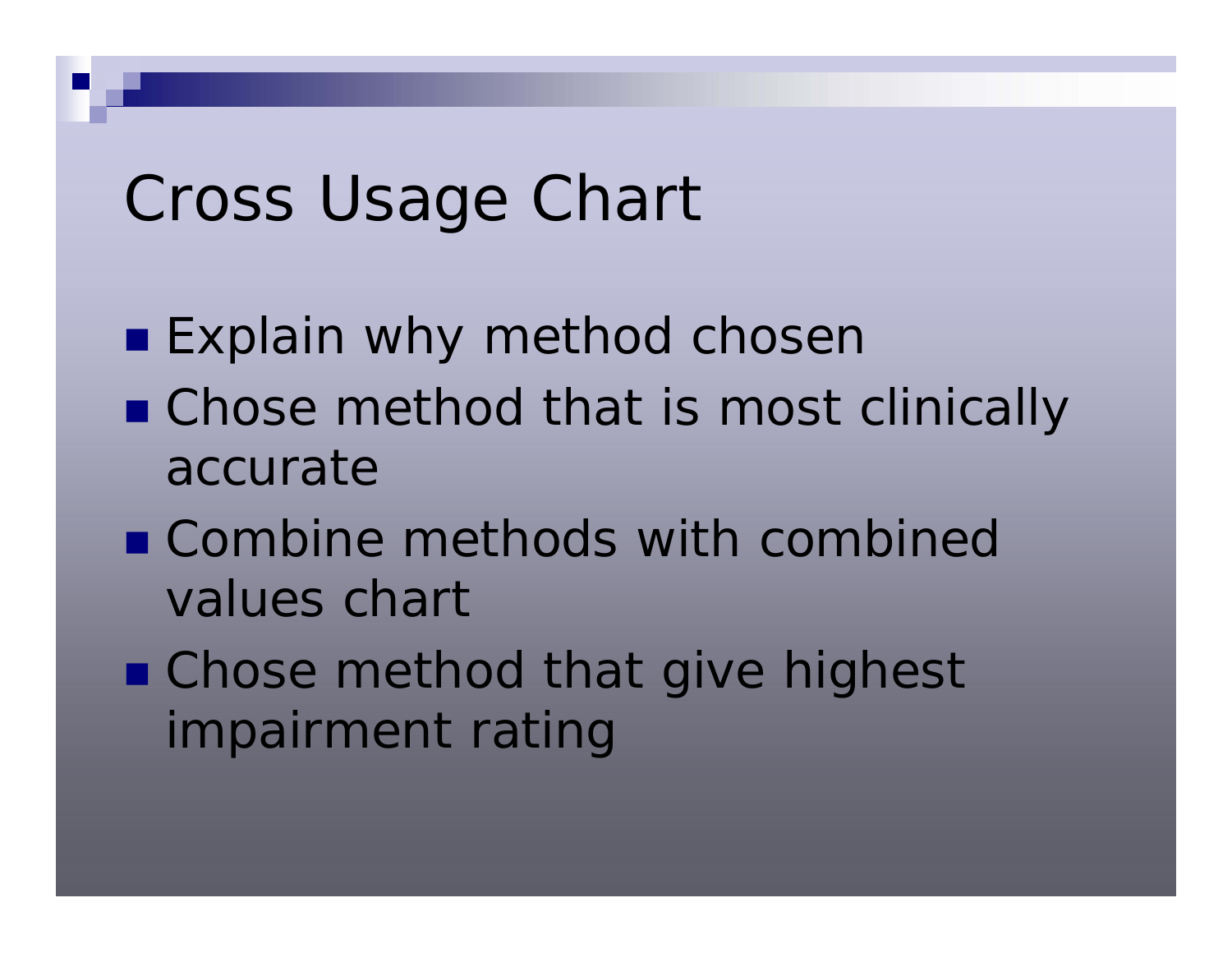## Cross Usage Chart

- **Explain why method choser**
- Chose method that is most clinically accurate
- Combine methods with combined values chart
- Chose method that give highest impairment rating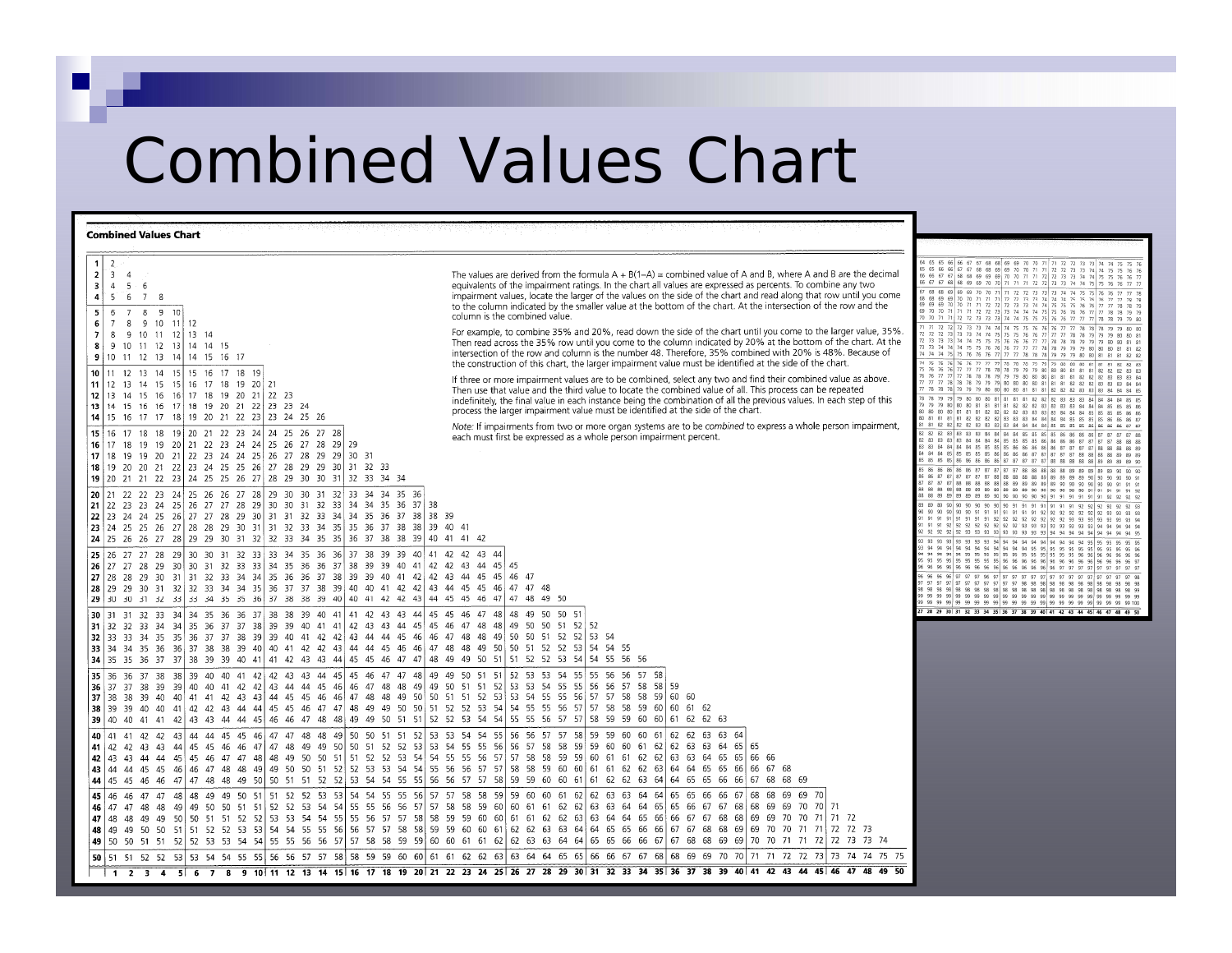## Combined Values Chart

#### **Combined Values Chart**

| $\overline{2}$<br>$\mathbf{1}$<br>2 <sup>1</sup><br>- 3 -<br>4<br>$\overline{\mathbf{3}}$<br>$4 \t5 \t6$<br>$\overline{4}$<br>5 6 7 8<br>7 8 9 10<br>-51<br>-6<br>9 10 11 12<br>-6<br>- 7<br>- 8<br>7 8 9 10 11 12 13 14<br>9 10 11 12 13 14 14 15<br>-8<br>9 10 11 12 13 14 14 15 16 17<br>10 <sup>1</sup><br>12 13 14 15 15 16 17 18 19<br>11<br>$11$   12<br>13 14 15 15 16 17 18 19 20 21<br>12 13 14 15 16 16 17 18 19 20 21 22 23<br>13 14 15 16 16 17 18 19 20 21 22 23 23 24<br>14   15 16 17 17 18   19 20 21 22 23   23 24 25 26<br>15 16<br>17 18 18 19 20 21 22 23 24 24 25 26 27 28<br>16   17 18 19 19 20   21 22 23 24 24   25 26 27 28 29   29<br>19 19 20 21 22 23 24 24 25 26 27 28 29 29 30 31<br>17 18<br>18 19 20 20 21 22 23 24 25 25 26 27 28 29 29 30 31 32 33<br>19 20 21 21 22 23 24 25 25 26 27 28 29 30 30 31 32 33 34 34<br>20 21 22 22 23 24 25 26 26 27 28 29 30 30 31 32 33 34 34 35 36<br>21   22 23 23 24 25   26 27 27 28 29   30 30 31 32 33   34 34 35 36 37   38<br>  22   23   24   25   26   27   27   28   29   30   31   31   32   33   34   34   35   36   37   38   38   39<br>23 24 25 25 26 27 28 28 29 30 31 31 32 33 34 35 35 36 37 38 38 39 40 41<br>  24   25   26   26   27   28   29   29   30   31   32   32   33   34   35   35   36   37   38   38   39   40   41   42<br>  25   26   27   27   28   29   30   30   31   32   33   33   34   35   36   36   37   38   39   39   40   41   42   42   43<br>26 27 27 28 29 30 30 31 32 33 33 34 35 36 36 37 38 39 39 40 41 42 42 43 44 45 45<br>27 28 28 29 30 31 31 32 33 34 34 35 36 36 37 38 39 39 40 41 42 42 43 44 45 45 46 47<br>28 29 29 30 31 32 32 33 34 34 35 36 37 37 38 39 40 40 41 42 42 43 44 45 45<br>29 30 30 31 32 33 33 34 35 35 36 37 38 38 39 40 40 41 42 42 43 44 45 45 46 47                                                                                                                                                                                                                                           | The values are derived from the formula $A + B(1-A) =$ combined value of A and B, where A and B are the decimal<br>equivalents of the impairment ratings. In the chart all values are expressed as percents. To combine any two<br>impairment values, locate the larger of the values on the side of the chart and read along that row until you come<br>to the column indicated by the smaller value at the bottom of the chart. At the intersection of the row and the<br>column is the combined value.<br>For example, to combine 35% and 20%, read down the side of the chart until you come to the larger value, 35%.<br>Then read across the 35% row until you come to the column indicated by 20% at the bottom of the chart. At the<br>intersection of the row and column is the number 48. Therefore, 35% combined with 20% is 48%. Because of<br>the construction of this chart, the larger impairment value must be identified at the side of the chart.<br>If three or more impairment values are to be combined, select any two and find their combined value as above.<br>Then use that value and the third value to locate the combined value of all. This process can be repeated<br>indefinitely, the final value in each instance being the combination of all the previous values. In each step of this<br>process the larger impairment value must be identified at the side of the chart.<br>Note: If impairments from two or more organ systems are to be combined to express a whole person impairment,<br>each must first be expressed as a whole person impairment percent.<br>46 47 47 48<br>47 48 49 50 | 64 65 65 66 66 67 67 68 68 69 69 70 70 71 71 72 72 73 73 74 74 75 75 76<br>65 65 66 66 67 67 68 68 69 69 70 70 71 71 72 72 73 73 74 74 75 75 76 76<br>66 66 67 67 68 68 69 69 69 70 70 71 71 72 72 73 73 74 74 75 75 76 76 77<br>66 67 67 68 68 69 69 70 70 71 71 71 72 72 73 73 74 74 75 75 76 76 77 77<br>67 68 68 69 69 69 70 70 71 71 72 72 73 73 73 74 74 75 75 76 76 77 77 78<br>68 68 69 69 70 70 71 71 71 72 72 73 73 74 74 74 75 75 76 76 77 77 78 78<br>69 69 69 70 70 71 71 72 72 72 73 73 74 74 75 75 75 76 76 77 77 78 78 79<br>69 70 70 71 71 71 72 72 73 73 74 74 74 75 75 76 76 76 77 77 78 78 79 79<br>70 70 71 71 72 72 73 73 73 74 74 75 75 75 76 76 77 77 77 78 78 79 79 80<br>71 71 72 72 72 73 73 74 74 74 75 75 76 76 76 77 77 78 78 78 79 79 80 80<br>72 72 72 73 73 74 74 75 75 75 76 76 77 77 78 78 79 79 79 80 80 81<br>72 73 73 73 74 74 75 75 75 76 76 77 77 78 78 78 79 79 79 80 80 81 81<br>73 73 74 74 74 75 75 76 76 76 77 77 77 78 78 79 79 79 80 80 81 81 82<br>74 74 74 75 75 76 76 76 77 77 77 78 78 78 79 79 79 80 80 81 81 81 82 82<br>74 75 75 76 76 76 77 77 77 78 78 78 79 79 79 80 80 80 81 81 81 82 82 83<br>75 76 76 76 77 77 77 78 78 78 79 79 79 80 80 80 81 81 81 82 82 83 83<br>76 76 77 77 77 78 78 78 79 79 79 80 80 80 81 81 81 82 82 83 83 83 84<br>77 77 77 78 78 79 79 79 80 80 80 80 81 81 81 82 82 82 83 83 84 84<br>77 78 78 78 79 79 79 80 80 80 80 81 81 81 82 82 82 83 83 84 84 84 85<br>78 78 79 79 79 80 80 80 81 81 81 81 82 82 82 83 83 83 84 84 84 85 85<br>79 79 79 80 80 80 81 81 81 81 82 82 82 83 83 83 84 84 84 85 85 85 86<br>80 80 80 80 81 81 81 82 82 82 82 83 83 83 84 84 84 85 85 85 85 86 86<br>80 81 81 81 81 82 82 82 82 83 83 84 84 84 84 85 85 85 85 86 86 86 87<br>81 81 82 82 82 82 83 83 83 83 84 84 84 84 85 85 85 85 86 86 86 87 87<br>82 82 82 83 83 83 84 84 84 84 85 85 85 85 86 86 86 87 87 87 88<br>82 83 83 83 84 84 84 84 84 85 85 85 86 86 86 86 87 87 87 88 88 88<br>83 83 84 84 84 84 85 85 85 85 86 86 86 86 86 87 87 87 87 88 88 88 88 89<br>84 84 84 85 85 85 85 86 86 86 86 87 87 87 87 87 88 88 88 89 89 89 89<br>85 85 85 85 86 86 86 86 86 87 87 87 87 87 88 88 88 88 88 89 89 89 89 89 90<br>85 86 86 86 86 87 87 87 87 88 88 88 88 88 89 89 89 89 89 90 90 90<br>86 86 87 87 87 87 87 88 88 88 88 88 89 89 89 89 89 89 90 90 90 91 9<br>87 87 87 87 88 88 88 88 88 88 89 89 89 89 89 89 90 90 90 90 90 91 91 91<br>88 88 88 88 88 88 89 89 89 80 80 80 90 90 90 90 90 90 91 91 91 91 92<br>88 88 89 89 89 89 89 89 90 90 90 90 90 90 91 91 91 91 91 91 92 92 92 92<br>89 89 89 90 90 90 90 90 90 90 91 91 91 91 91 91 91 92 92 92 92 92 93<br>90 90 90 90 90 90 90 91 91 91 91 91 91 91 92 92 92 92 92 92 93 93 93 93<br>91 91 91 91 91 91 91 91 92 92 92 92 92 92 92 92 93 93 93 93 93 94<br>91 91 91 92 92 92 92 92 92 92 92 93 93 93 93 93 93 93 93 94 94 94 94<br>92 92 92 92 92 93 93 93 93 93 93 93 93 93 94 94 94 94 94 94 94 94 95<br>93 93 93 93 93 93 93 94 94 94 94 94 94 94 94 94 94 95 95 95 95 95 95<br>93 94 94 94 94 94 94 94 94 94 94 94 94 95 95 95 95 95 95 95 95 96 96 96<br>97 97 97 97 97 97 97 97 97 97 97 98 98 98 98 98 98 98 98 98 98 98 98 |
|---------------------------------------------------------------------------------------------------------------------------------------------------------------------------------------------------------------------------------------------------------------------------------------------------------------------------------------------------------------------------------------------------------------------------------------------------------------------------------------------------------------------------------------------------------------------------------------------------------------------------------------------------------------------------------------------------------------------------------------------------------------------------------------------------------------------------------------------------------------------------------------------------------------------------------------------------------------------------------------------------------------------------------------------------------------------------------------------------------------------------------------------------------------------------------------------------------------------------------------------------------------------------------------------------------------------------------------------------------------------------------------------------------------------------------------------------------------------------------------------------------------------------------------------------------------------------------------------------------------------------------------------------------------------------------------------------------------------------------------------------------------------------------------------------------------------------------------------------------------------------------------------------------------------------------------------------------------------------------------------------------------------------------------------------|------------------------------------------------------------------------------------------------------------------------------------------------------------------------------------------------------------------------------------------------------------------------------------------------------------------------------------------------------------------------------------------------------------------------------------------------------------------------------------------------------------------------------------------------------------------------------------------------------------------------------------------------------------------------------------------------------------------------------------------------------------------------------------------------------------------------------------------------------------------------------------------------------------------------------------------------------------------------------------------------------------------------------------------------------------------------------------------------------------------------------------------------------------------------------------------------------------------------------------------------------------------------------------------------------------------------------------------------------------------------------------------------------------------------------------------------------------------------------------------------------------------------------------------------------------------------------------------------------------------------------------|---------------------------------------------------------------------------------------------------------------------------------------------------------------------------------------------------------------------------------------------------------------------------------------------------------------------------------------------------------------------------------------------------------------------------------------------------------------------------------------------------------------------------------------------------------------------------------------------------------------------------------------------------------------------------------------------------------------------------------------------------------------------------------------------------------------------------------------------------------------------------------------------------------------------------------------------------------------------------------------------------------------------------------------------------------------------------------------------------------------------------------------------------------------------------------------------------------------------------------------------------------------------------------------------------------------------------------------------------------------------------------------------------------------------------------------------------------------------------------------------------------------------------------------------------------------------------------------------------------------------------------------------------------------------------------------------------------------------------------------------------------------------------------------------------------------------------------------------------------------------------------------------------------------------------------------------------------------------------------------------------------------------------------------------------------------------------------------------------------------------------------------------------------------------------------------------------------------------------------------------------------------------------------------------------------------------------------------------------------------------------------------------------------------------------------------------------------------------------------------------------------------------------------------------------------------------------------------------------------------------------------------------------------------------------------------------------------------------------------------------------------------------------------------------------------------------------------------------------------------------------------------------------------------------------------------------------------------------------------------------------------------------------------------------------------------------------------------------------------------------------------------------------------------------------------|
| 34 35 36 36 37 38 38 39 40 41 41 42 43 43<br>30 31 31 32 33 34<br>  <b>31</b>   32    32    33    34    34    35    36    37    37    38    39    39    40    41    42    43    44    45    45    46    47    48    48    48    49    50    50    51    52    52<br>32 33 33 34 35 35 36 37 37 38 39 39 40 41 42 42 43 44 44 45 46 46 47 48 48 49 50 50 51 52<br>  33   34 34 35 36 36   37 38 38 39 40   40 41 42 42 43   44 44 45 46 46   47 48 48 49 50   50 51 52 52<br>34 35 35 36 37 37 38 39 39 40 41 41 42 43 43 44 45 45 46 47 47 48 49 49 50 51 51 52 52 53 54 54 55 56 56<br> 35  36 36 37 38 38  39 40 40 41 42  42 43 43 44 45  45 46 47 47 48  49 49 50 51 51 52 53 53 54 55  55 56 56 57 58<br>37 38 39 39 40 40 41 42 42 43 44 44 45 46 46 47 48 48 49 49 50 51 51 52<br>$36 \mid 37$<br>37 38 38 39 40 40 41 41 42 43 43 44 45 45 46 46 47 48 48 49 50 50 51 51 52 53 53 54 55 55 56 57 57 58 58 59 60 60<br>38 39 39 40 40 41 42 42 43 44 44 45 45 46 47 47 48 49 49 50 50 51 52 52 53 54 54 55 55 56 57 57 58 58<br>39 40 40 41 41 42 43 43 44 44 45 46 46 47 48 48 49 49 50 51 51 52 52 53 54 54 55 55 56 57 57 58 59 59 60 60 61 62 62 63<br>41 42 42 43 44 44 45 45 46 47 47 48 48 49 50 50 51 51 52 53 53 54 54 55<br>40 41<br>41 42 42 43 43 44 45 45 46 46 47 47 48 49 49 50 50 51 52 52 53 53 54 55 55 56 56 57 58 58 59 59 60 60 61 62 62 63 63 64 65 65<br>42 43 44 44 45 45 46 47 47 48 48 49 50 50 51 51 52 52 53 54 54 55 55 56 57 57 58 58 59 59 60 61 61 62 62 63 63 64 65 65 66 66<br>44  45  45  46  46  47  48  48  49  49  50  50  51  52  52  53  53  54  54  55  56  56  57  57<br>43 44<br>44   45 45 46 46 47   47 48 48 49 50   50 51 51 52 52   53 54 54 55 55   56 56 57 57 58   59 59 60 60 61  <br>45 46 46 47 47 48 48 49 49 50 51 51 52 52 53 53 54 54 55 55<br>-561<br>46 47 47<br>48 48<br>49 49 50<br>47   48 48 49 49 50   50 51 51 52 52 53 53 54 54 55 55 56 57 57 58   58 59 59 60 60 61 61 62 62 63  <br>50 50 51 51 52 52 53 53 54 54 55 55 56 56 57 57 58 58 59 59 60 60 61<br>48 49 49 | 44 45 45 46 47 48 48 49 50 50 51<br>$52$ 53 54<br>53 54 54 55<br>53 53 54 55 55 56 56 57 58 58 59<br>59 60 60 61 62<br>56 56 57 57 58 59 59 60 60 61 62 62 63 63 64<br>58 58 59 60 60 61 61 62 62 63 64 64 65 65 66 66 67 68<br>61 62 62 63 64 64 65 65 66 66 67 68 68 69<br>57 57 58 58 59 59 60 60 61 62 62 63 63 64 64 65 65 66 66 67 68 68 69 69 70<br>50 51 51 52 52 53 54 54 55 55 56 56 57 57 58 58 59 60 60 61 61 62 62 63 64 64 65 65 66 67 67 68 68 69 69 70 70 71<br>63 64 64 65 66 66 67 67 68 68 69 69 70 70 71 71 72<br>  62 62 63 63 64   64 65 65 66 66   67 67 68 68 69   69 70 70 71 71   72 72 73<br> 49 50 50 51 51 52 52 53 53 54 54 55 55 56 56 57 57 58 58 59 59 60 60 61 61 62 62 63 63 64 64 65 65 66 66 67 67 68 68 69 69 70 70 71 71 72 72 73 73 74<br>50 51 51 52 52 53 53 54 54 55 55 56 56 57 57 58 58 59 59 60 60 61 61 62 62 63 63 64 64 65 65 66 66 67 67 68 68 69 69 70 70 71 71 72 72 73 73 74 74 75 75<br>1 2 3 4 5 6 7 8 9 10 11 12 13 14 15 16 17 18 19 20 21 22 23 24 25 26 27 28 29 30 31 32 33 34 35 36 37 38 39 40 41 42 43 44 45 46 47 48 49 50                                                                                                                                                                                                                                                                                                                                                                                                                                                                                                                                         | 27 28 29 30 31 32 33 34 35 36 37 38 39 40 41 42 43 44 45 46 47 48 49 50                                                                                                                                                                                                                                                                                                                                                                                                                                                                                                                                                                                                                                                                                                                                                                                                                                                                                                                                                                                                                                                                                                                                                                                                                                                                                                                                                                                                                                                                                                                                                                                                                                                                                                                                                                                                                                                                                                                                                                                                                                                                                                                                                                                                                                                                                                                                                                                                                                                                                                                                                                                                                                                                                                                                                                                                                                                                                                                                                                                                                                                                                                         |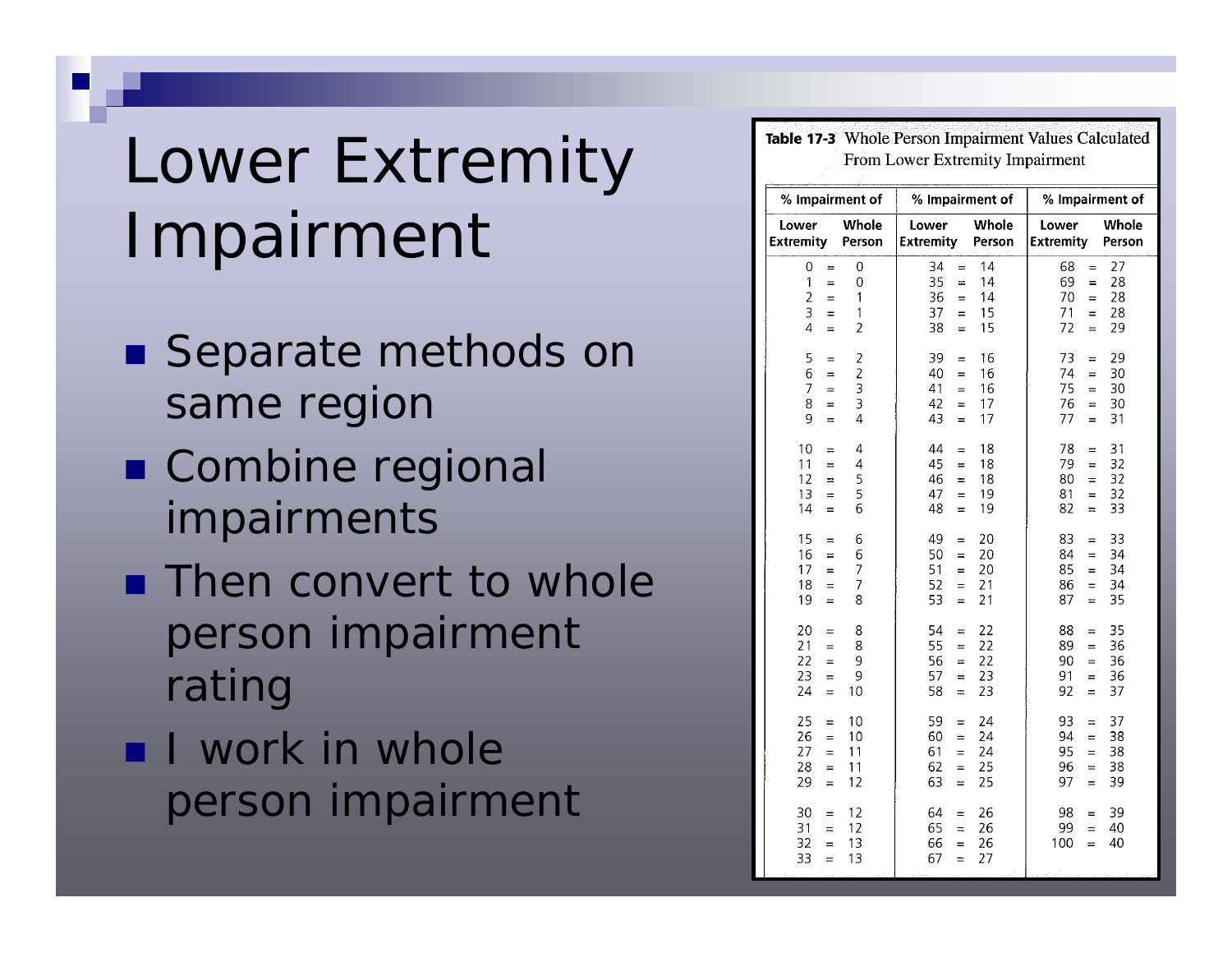# Lower Extremity Impairment

- Separate methods on same region
- Combine regional impairments
- **Then convert to whole** person impairment rating
- **I** work in whole person impairment

| Table 17-3 Whole Person Impairment Values Calculated<br>From Lower Extremity Impairment |                                                                 |                                                                    |                            |                                                                                                  |  |  |  |
|-----------------------------------------------------------------------------------------|-----------------------------------------------------------------|--------------------------------------------------------------------|----------------------------|--------------------------------------------------------------------------------------------------|--|--|--|
| % Impairment of                                                                         |                                                                 | % Impairment of                                                    |                            | % Impairment of                                                                                  |  |  |  |
| Lower<br><b>Extremity</b>                                                               | Whole<br>Person                                                 | Lower<br><b>Extremity</b>                                          | Whole<br>Person            | Whole<br>Lower<br><b>Extremity</b><br>Person                                                     |  |  |  |
| 0<br>$=$<br>1<br>$=$<br>$\overline{2}$<br>$=$<br>3<br>$=$<br>$\overline{4}$<br>$=$      | 0<br>0<br>$\mathbf{1}$<br>$\mathbf 1$<br>2                      | 34<br>$=$<br>35<br>$=$<br>36<br>$=$<br>37<br>$=$<br>38<br>$=$      | 14<br>14<br>14<br>15<br>15 | 27<br>68<br>$=$<br>28<br>69<br>$=$<br>28<br>70<br>$\equiv$<br>71<br>28<br>$=$<br>72<br>29<br>$=$ |  |  |  |
| 5<br>$\equiv$<br>6<br>$=$<br>$\overline{7}$<br>$=$<br>8<br>$=$<br>9<br>$=$              | $\overline{\mathbf{c}}$<br>$\frac{2}{3}$<br>3<br>$\overline{4}$ | 39<br>$=$<br>40<br>$=$<br>41<br>$=$<br>42<br>$=$<br>43<br>=        | 16<br>16<br>16<br>17<br>17 | 29<br>73<br>$=$<br>74<br>30<br>$=$<br>75<br>30<br>$=$<br>76<br>30<br>$=$<br>31<br>77<br>$=$      |  |  |  |
| 10<br>$=$<br>11<br>$=$<br>12<br>$\equiv$<br>13<br>$=$<br>14<br>$=$                      | $\overline{\mathcal{L}}$<br>4<br>5<br>5<br>6                    | 44<br>$=$<br>45<br>$=$<br>46<br>$=$<br>47<br>$=$<br>48<br>$=$      | 18<br>18<br>18<br>19<br>19 | 31<br>78<br>$=$<br>32<br>79<br>$\equiv$<br>32<br>80<br>$=$<br>32<br>81<br>$=$<br>33<br>82<br>$=$ |  |  |  |
| 15<br>$=$<br>16<br>$=$<br>17<br>$=$<br>18<br>$=$<br>19<br>$=$                           | 6<br>6<br>7<br>7<br>8                                           | 49<br>$=$<br>50<br>$=$<br>51<br>$=$<br>52<br>$=$<br>53<br>$=$      | 20<br>20<br>20<br>21<br>21 | 33<br>83<br>$=$<br>84<br>34<br>$=$<br>85<br>34<br>$=$<br>86<br>34<br>$=$<br>35<br>87<br>$=$      |  |  |  |
| 20<br>$=$<br>21<br>$=$<br>22<br>$=$<br>23<br>$=$<br>24<br>$=$                           | 8<br>8<br>9<br>9<br>10                                          | 54<br>$=$<br>55<br>$=$<br>56<br>$=$<br>57<br>$=$<br>58<br>$=$      | 22<br>22<br>22<br>23<br>23 | 35<br>88<br>$=$<br>89<br>36<br>$=$<br>36<br>90<br>$=$<br>91<br>36<br>$=$<br>37<br>92<br>$=$      |  |  |  |
| 25<br>$=$<br>26<br>$=$<br>27<br>$=$<br>28<br>$=$<br>29<br>$=$                           | 10<br>10<br>11<br>11<br>12                                      | 59<br>$=$<br>60<br>$=$<br>61<br>$=$<br>62<br>$=$<br>63<br>$\equiv$ | 24<br>24<br>24<br>25<br>25 | 37<br>93<br>$=$<br>94<br>38<br>$=$<br>38<br>95<br>$=$<br>38<br>96<br>$=$<br>39<br>97<br>$=$      |  |  |  |
| 30<br>$=$<br>31<br>$=$<br>32<br>$=$<br>33<br>$=$                                        | 12<br>12<br>13<br>13                                            | 64<br>$=$<br>65<br>$=$<br>66<br>$=$<br>67<br>$=$                   | 26<br>26<br>26<br>27       | 39<br>98<br>$=$<br>99<br>40<br>$=$<br>100<br>40<br>$=$                                           |  |  |  |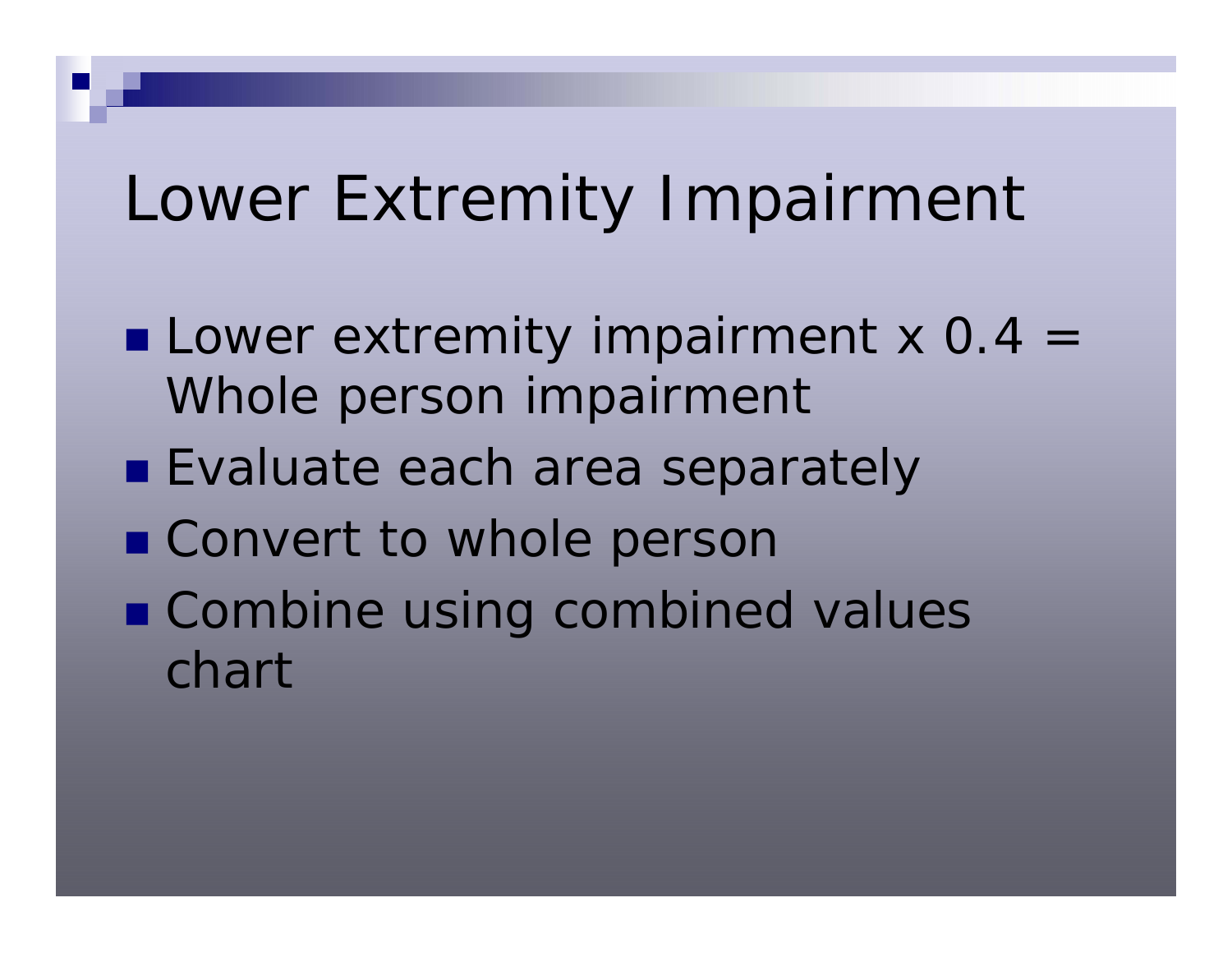## Lower Extremity Impairment

- **Lower extremity impairment x 0.4 =** Whole person impairment
- **Exaluate each area separately**
- Convert to whole persor
- Combine using combined values chart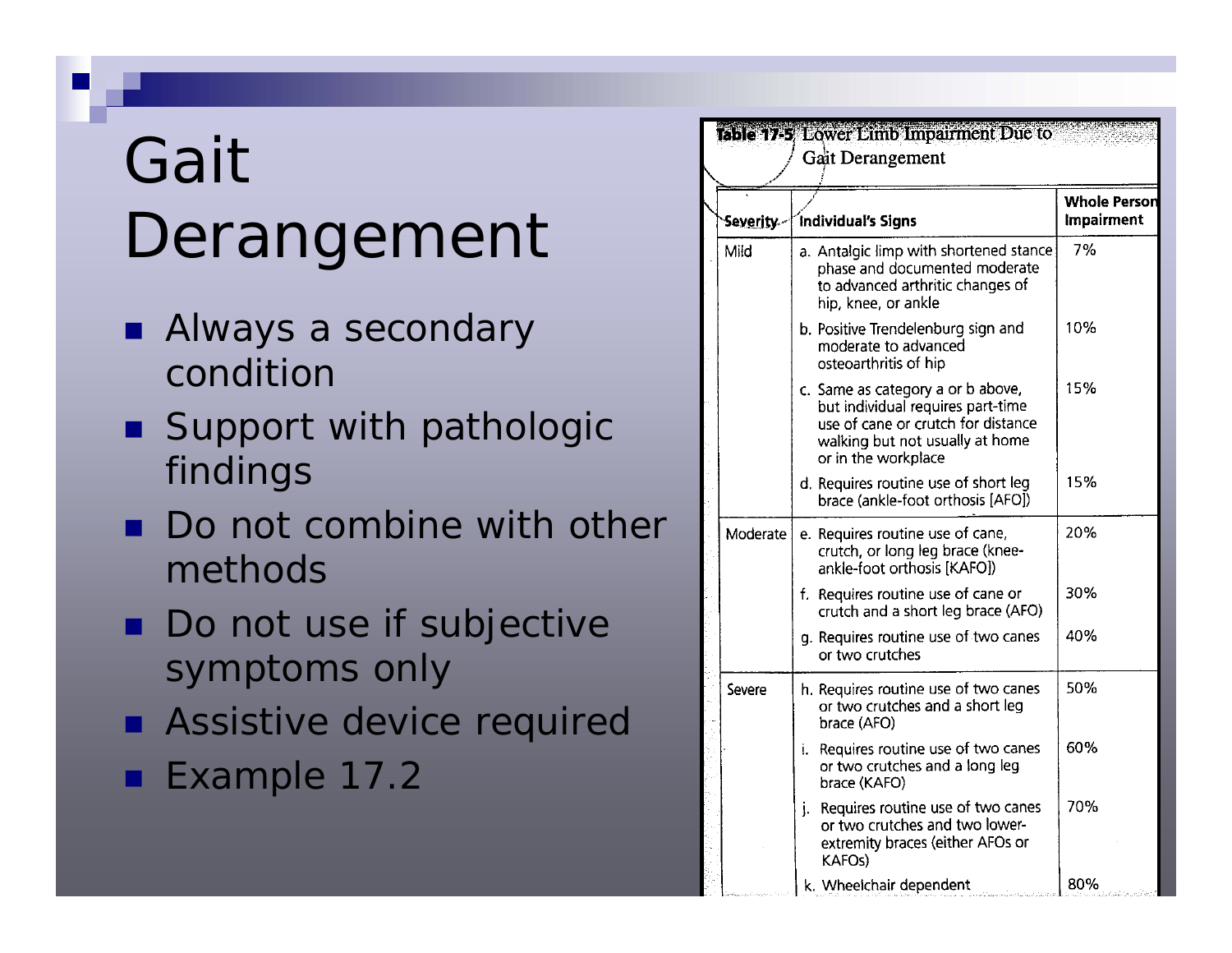# Gait Derangement

- **Always a secondary** condition
- **Support with pathologic** findings
- **Do not combine with other** methods
- Do not use if subjective symptoms only
- **Assistive device required**
- Example 17.2

| Se <u>verity -</u> | Individual's Signs                                                                                                                                                     | <b>Whole Person</b><br>Impairment |
|--------------------|------------------------------------------------------------------------------------------------------------------------------------------------------------------------|-----------------------------------|
| Mild               | a. Antalgic limp with shortened stance<br>phase and documented moderate<br>to advanced arthritic changes of<br>hip, knee, or ankle                                     | 7%                                |
|                    | b. Positive Trendelenburg sign and<br>moderate to advanced<br>osteoarthritis of hip                                                                                    | 10%                               |
|                    | c. Same as category a or b above,<br>but individual requires part-time<br>use of cane or crutch for distance<br>walking but not usually at home<br>or in the workplace | 15%                               |
|                    | d. Requires routine use of short leg<br>brace (ankle-foot orthosis [AFO])                                                                                              | 15%                               |
| Moderate           | e. Requires routine use of cane,<br>crutch, or long leg brace (knee-<br>ankle-foot orthosis [KAFO])                                                                    | 20%                               |
|                    | f. Requires routine use of cane or<br>crutch and a short leg brace (AFO)                                                                                               | 30%                               |
|                    | g. Requires routine use of two canes<br>or two crutches                                                                                                                | 40%                               |
| Severe             | h. Requires routine use of two canes<br>or two crutches and a short leg<br>brace (AFO)                                                                                 | 50%                               |
|                    | i. Requires routine use of two canes<br>or two crutches and a long leg<br>brace (KAFO)                                                                                 | 60%                               |
|                    | Requires routine use of two canes<br>j.<br>or two crutches and two lower-<br>extremity braces (either AFOs or<br><b>KAFOS</b>                                          | 70%                               |
|                    | k. Wheelchair dependent                                                                                                                                                | 80%                               |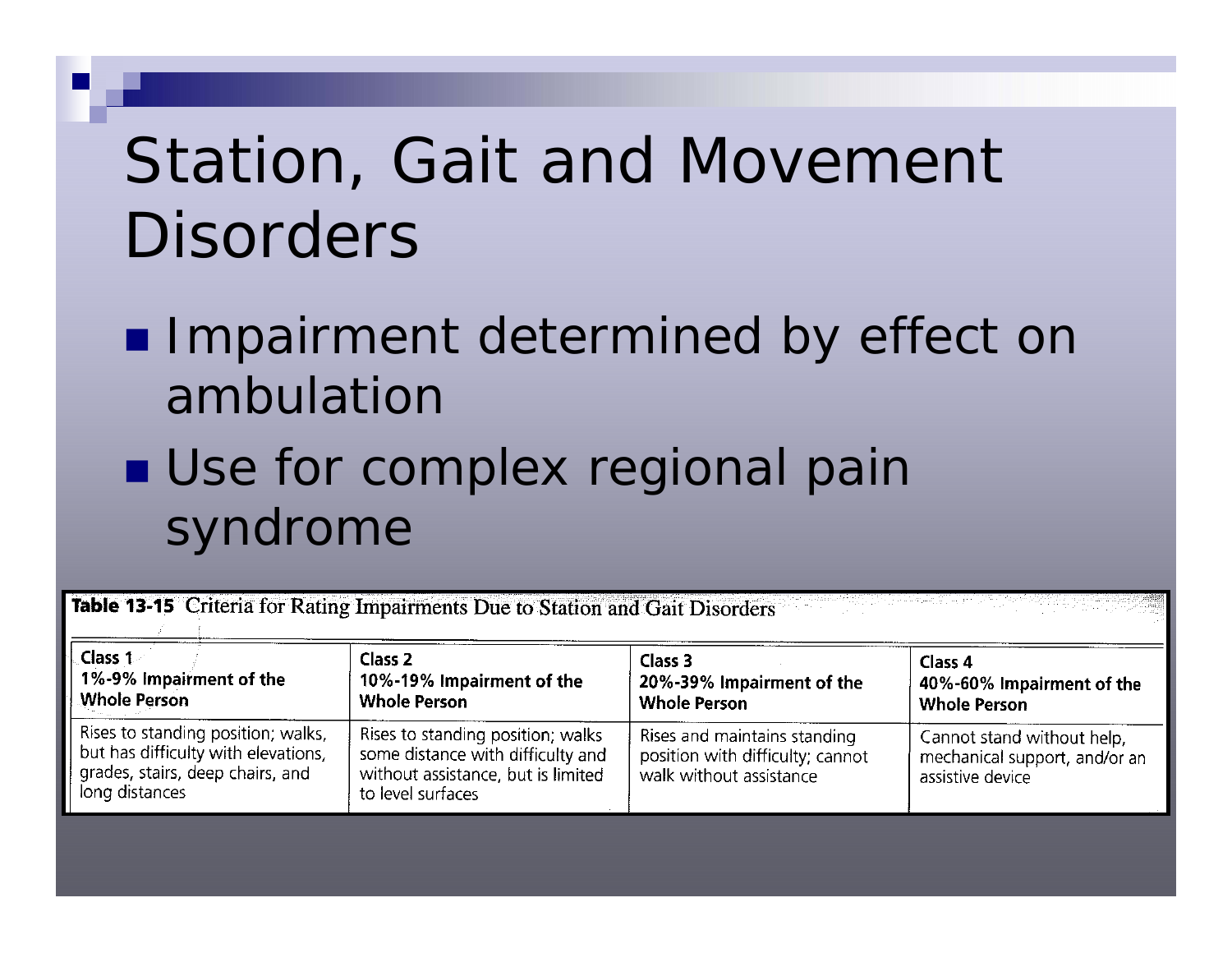## Station, Gait and Movement **Disorders**

#### **Impairment determined by effect on** ambulation

### **Use for complex regional pain** syndrome

Table 13-15 Criteria for Rating Impairments Due to Station and Gait Disorders

| <b>Class 1</b>                                                                                                                  | Class 2                                                                                                                           | Class 3                                                                                     | Class 4                                                                         |
|---------------------------------------------------------------------------------------------------------------------------------|-----------------------------------------------------------------------------------------------------------------------------------|---------------------------------------------------------------------------------------------|---------------------------------------------------------------------------------|
| 1%-9% Impairment of the                                                                                                         | 10%-19% Impairment of the                                                                                                         | 20%-39% Impairment of the                                                                   | 40%-60% Impairment of the                                                       |
| <b>Whole Person</b>                                                                                                             | <b>Whole Person</b>                                                                                                               | <b>Whole Person</b>                                                                         | <b>Whole Person</b>                                                             |
| Rises to standing position; walks,<br>but has difficulty with elevations,<br>grades, stairs, deep chairs, and<br>long distances | Rises to standing position; walks<br>some distance with difficulty and<br>without assistance, but is limited<br>to level surfaces | Rises and maintains standing<br>position with difficulty; cannot<br>walk without assistance | Cannot stand without help,<br>mechanical support, and/or an<br>assistive device |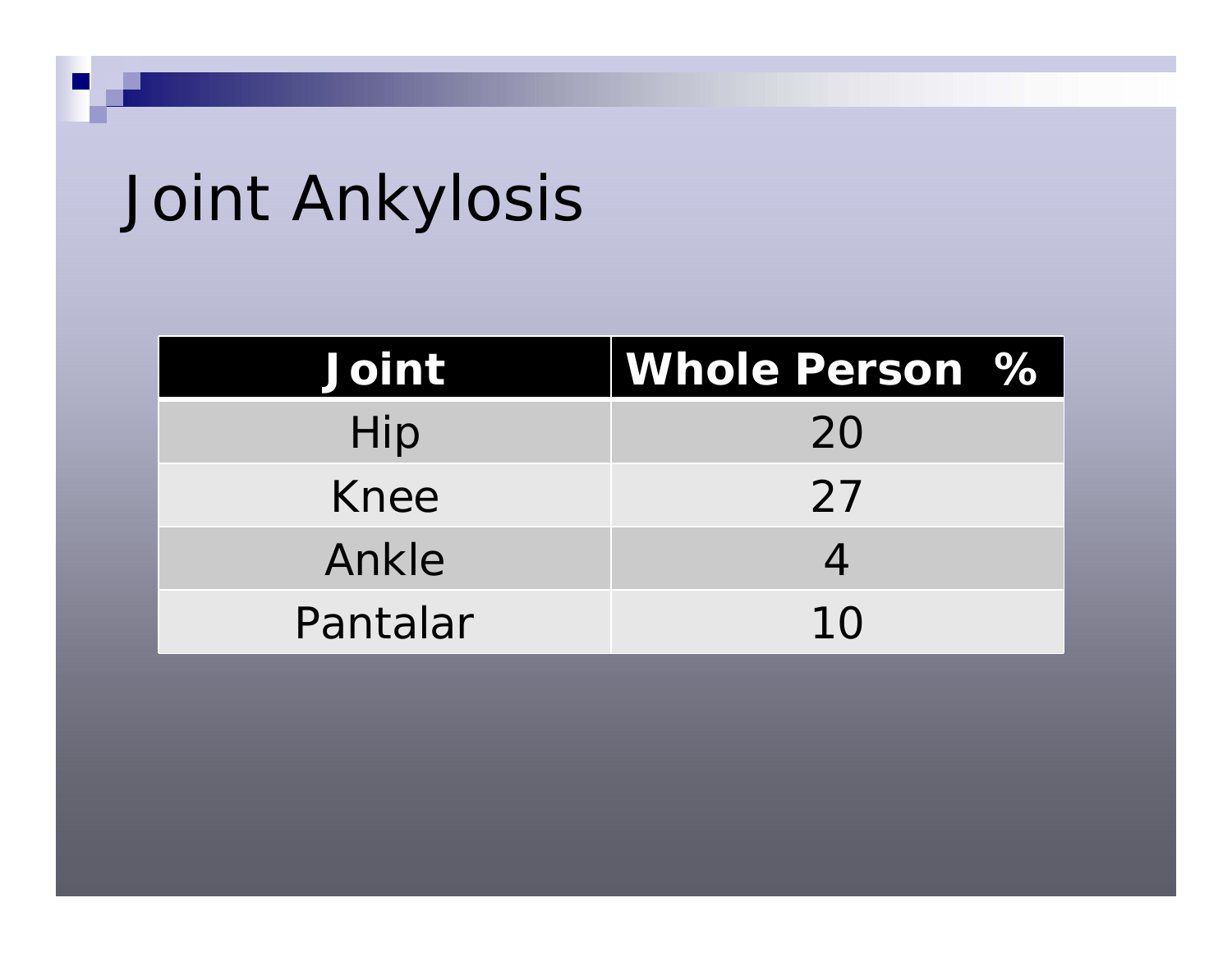# Joint Ankylosis

| <b>Joint</b> | <b>Whole Person %</b> |  |
|--------------|-----------------------|--|
| Hip          | 20                    |  |
| Knee         | 27                    |  |
| Ankle        |                       |  |
| Pantalar     | 10                    |  |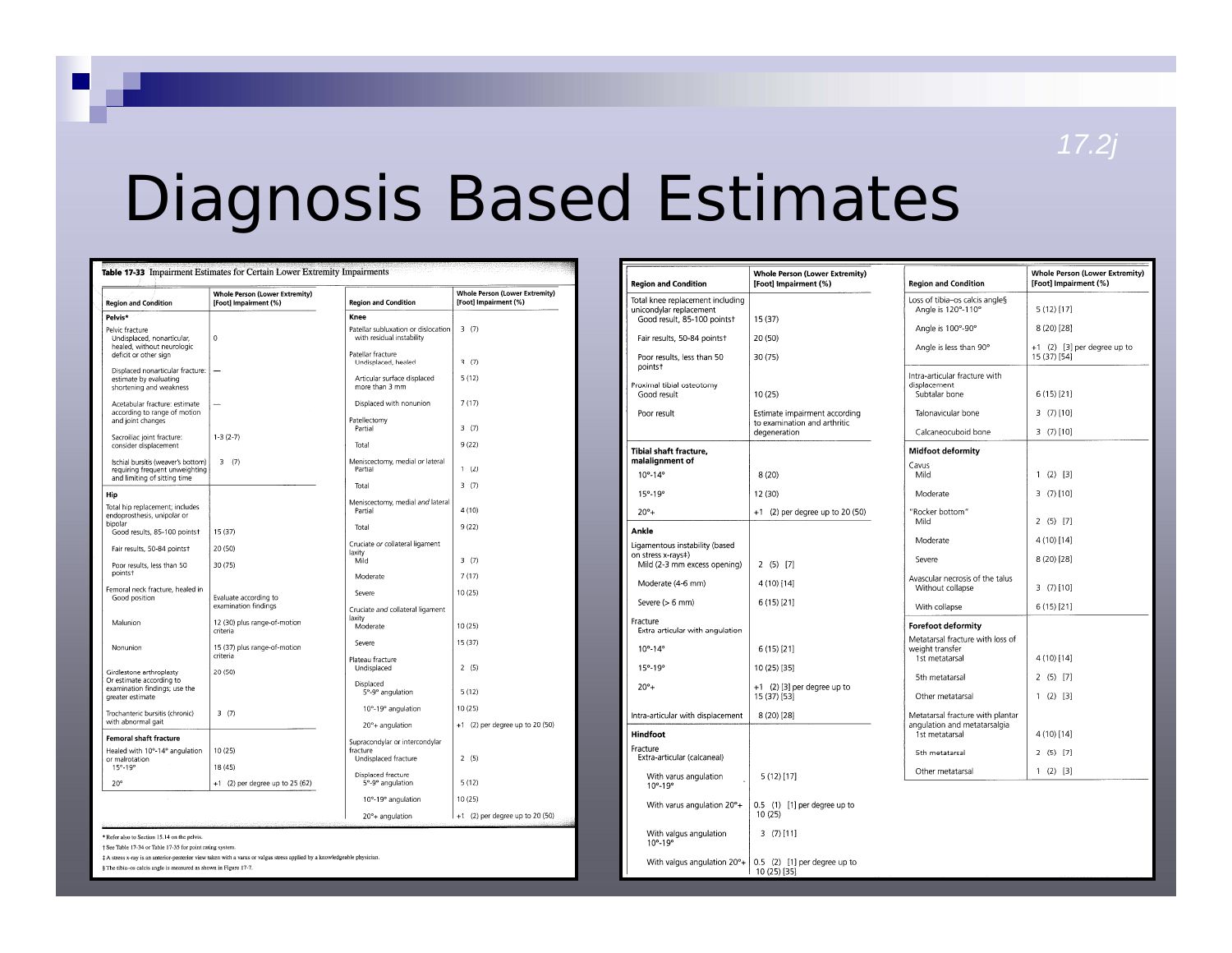#### *17.2j*

## Diagnosis Based Estimates

With valgus angulation  $20^{\circ} + \begin{bmatrix} 0.5 & (2) & [1] \ 10 & (25) & [35] \end{bmatrix}$ 

| <b>Region and Condition</b>                                                 | <b>Whole Person (Lower Extremity)</b><br>[Foot] Impairment (%) | <b>Region and Condition</b>                                        | <b>Whole Person (Lower Extremity)</b><br>[Foot] Impairment (%) |
|-----------------------------------------------------------------------------|----------------------------------------------------------------|--------------------------------------------------------------------|----------------------------------------------------------------|
| Pelvis*                                                                     |                                                                | Knee                                                               |                                                                |
| Pelvic fracture<br>Undisplaced, nonarticular,<br>healed, without neurologic | $\circ$                                                        | Patellar subluxation or dislocation<br>with residual instability   | 3(7)                                                           |
| deficit or other sign<br>Displaced nonarticular fracture:                   |                                                                | Patellar fracture<br>Undisplaced, healed                           | 3(7)                                                           |
| estimate by evaluating<br>shortening and weakness                           |                                                                | Articular surface displaced<br>more than 3 mm                      | 5(12)                                                          |
| Acetabular fracture: estimate<br>according to range of motion               |                                                                | Displaced with nonunion                                            | 7(17)                                                          |
| and joint changes<br>Sacroiliac joint fracture:                             | $1-3(2-7)$                                                     | Patellectomy<br>Partial                                            | 3(7)                                                           |
| consider displacement                                                       |                                                                | Total                                                              | 9(22)                                                          |
| Ischial bursitis (weaver's bottom)                                          | 3(7)                                                           | Meniscectomy, medial or lateral                                    |                                                                |
| requiring frequent unweighting<br>and limiting of sitting time              |                                                                | Partial                                                            | 1(2)                                                           |
| Hip                                                                         |                                                                | Total                                                              | 3(7)                                                           |
| Total hip replacement; includes<br>endoprosthesis, unipolar or              |                                                                | Meniscectomy, medial and lateral<br>Partial                        | 4(10)                                                          |
| bipolar<br>Good results, 85-100 points†                                     | 15(37)                                                         | Total                                                              | 9(22)                                                          |
| Fair results, 50-84 points†                                                 | 20 (50)                                                        | Cruciate or collateral ligament<br>laxity<br>Mild                  | 3(7)                                                           |
| Poor results, less than 50<br>points <sup>+</sup>                           | 30(75)                                                         | Moderate                                                           | 7(17)                                                          |
| Femoral neck fracture, healed in<br>Good position                           | Evaluate according to                                          | Severe                                                             | 10 (25)                                                        |
| Malunion                                                                    | examination findings<br>12 (30) plus range-of-motion           | Cruciate and collateral ligament<br>laxity                         |                                                                |
|                                                                             | criteria                                                       | Moderate<br>Severe                                                 | 10 (25)<br>15(37)                                              |
| Nonunion                                                                    | 15 (37) plus range-of-motion<br>criteria                       | Plateau fracture                                                   |                                                                |
| Girdlestone arthroplasty<br>Or estimate according to                        | 20 (50)                                                        | Undisplaced                                                        | 2(5)                                                           |
| examination findings; use the<br>greater estimate                           |                                                                | Displaced<br>5°-9° angulation                                      | 5(12)                                                          |
| Trochanteric bursitis (chronic)<br>with abnormal gait                       | 3(7)                                                           | 10°-19° angulation                                                 | 10(25)                                                         |
| <b>Femoral shaft fracture</b>                                               |                                                                | 20°+ angulation                                                    | +1 (2) per degree up to 20 (50)                                |
| Healed with 10°-14° angulation<br>or malrotation                            | 10(25)                                                         | Supracondylar or intercondylar<br>fracture<br>Undisplaced fracture | 2(5)                                                           |
| 15°-19°                                                                     | 18 (45)                                                        |                                                                    |                                                                |
| $20^{\circ}$                                                                | +1 (2) per degree up to 25 (62)                                | Displaced fracture<br>5°-9° angulation                             | 5(12)                                                          |
|                                                                             |                                                                | 10°-19° angulation                                                 | 10(25)                                                         |
|                                                                             |                                                                | 20°+ angulation                                                    | +1 (2) per degree up to 20 (50)                                |

| Refer also to Section 15.14 on the pelvis. |  |
|--------------------------------------------|--|
|--------------------------------------------|--|

+ See Table 17-34 or Table 17-35 for point rating system.

# A stress x-ray is an anterior-posterior view taken with a varus or valgus stress applied by a knowledgeable physician

§ The tibia-os calcis angle is measured as shown in Figure 17-7.

| <b>Region and Condition</b>                                 | <b>Whole Person (Lower Extremity)</b><br>[Foot] Impairment (%)                | <b>Region and Condition</b>                                    | <b>Whole Person (Lower Extremity)</b><br>[Foot] Impairment (%) |
|-------------------------------------------------------------|-------------------------------------------------------------------------------|----------------------------------------------------------------|----------------------------------------------------------------|
| Total knee replacement including<br>unicondvlar replacement |                                                                               | Loss of tibia-os calcis angles<br>Angle is 120°-110°           | 5(12)[17]                                                      |
| Good result, 85-100 points†                                 | 15 (37)                                                                       | Angle is 100°-90°                                              | $8(20)$ [28]                                                   |
| Fair results, 50-84 points†<br>Poor results, less than 50   | 20 (50)<br>30(75)                                                             | Angle is less than 90°                                         | +1 (2) [3] per degree up to<br>15 (37) [54]                    |
| points†<br>Proximal tibial osteotomy<br>Good result         | 10 (25)                                                                       | Intra-articular fracture with<br>displacement<br>Subtalar bone | 6 (15) [21]                                                    |
| Poor result                                                 | Estimate impairment according<br>to examination and arthritic<br>degeneration | Talonavicular bone<br>Calcaneocuboid bone                      | $3(7)$ [10]<br>3(7) [10]                                       |
| Tibial shaft fracture,                                      |                                                                               | <b>Midfoot deformity</b>                                       |                                                                |
| malalignment of                                             |                                                                               | Cavus                                                          |                                                                |
| $10^{\circ} - 14^{\circ}$                                   | 8(20)                                                                         | Mild                                                           | $1(2)$ [3]                                                     |
| $15^{\circ} - 19^{\circ}$                                   | 12 (30)                                                                       | Moderate                                                       | $3(7)$ [10]                                                    |
| $20^{\circ}$ +                                              | +1 (2) per degree up to 20 (50)                                               | "Rocker bottom"<br>Mild                                        | 2(5)[7]                                                        |
| Ankle                                                       |                                                                               | Moderate                                                       | 4 (10) [14]                                                    |
| Ligamentous instability (based<br>on stress x-rays‡)        |                                                                               | Severe                                                         | 8 (20) [28]                                                    |
| Mild (2-3 mm excess opening)                                | $2(5)$ [7]                                                                    | Avascular necrosis of the talus                                |                                                                |
| Moderate (4-6 mm)                                           | 4 (10) [14]                                                                   | Without collapse                                               | $3(7)$ [10]                                                    |
| Severe (> 6 mm)                                             | 6(15)[21]                                                                     | With collapse                                                  | 6 (15) [21]                                                    |
| Fracture<br>Extra-articular with angulation                 |                                                                               | <b>Forefoot deformity</b>                                      |                                                                |
| $10^{\circ} - 14^{\circ}$                                   | 6(15)[21]                                                                     | Metatarsal fracture with loss of<br>weight transfer            |                                                                |
|                                                             |                                                                               | 1st metatarsal                                                 | 4 (10) [14]                                                    |
| 15°-19°                                                     | 10 (25) [35]                                                                  | 5th metatarsal                                                 | 2(5)[7]                                                        |
| $20^{\circ}$ +                                              | +1 (2) [3] per degree up to<br>15 (37) [53]                                   | Other metatarsal                                               | $1(2)$ [3]                                                     |
| Intra-articular with displacement                           | 8 (20) [28]                                                                   | Metatarsal fracture with plantar                               |                                                                |
| Hindfoot                                                    |                                                                               | angulation and metatarsalgia<br>1st metatarsal                 | 4 (10) [14]                                                    |
| Fracture<br>Extra-articular (calcaneal)                     |                                                                               | 5th metatarsal                                                 | 2 (5) [7]                                                      |
| With varus angulation<br>$10^{\circ} - 19^{\circ}$          | 5(12) [17]                                                                    | Other metatarsal                                               | $1(2)$ [3]                                                     |
| With varus angulation 20°+                                  | 0.5 (1) [1] per degree up to<br>10(25)                                        |                                                                |                                                                |
| With valgus angulation<br>$10^{\circ} - 19^{\circ}$         | 3(7)[11]                                                                      |                                                                |                                                                |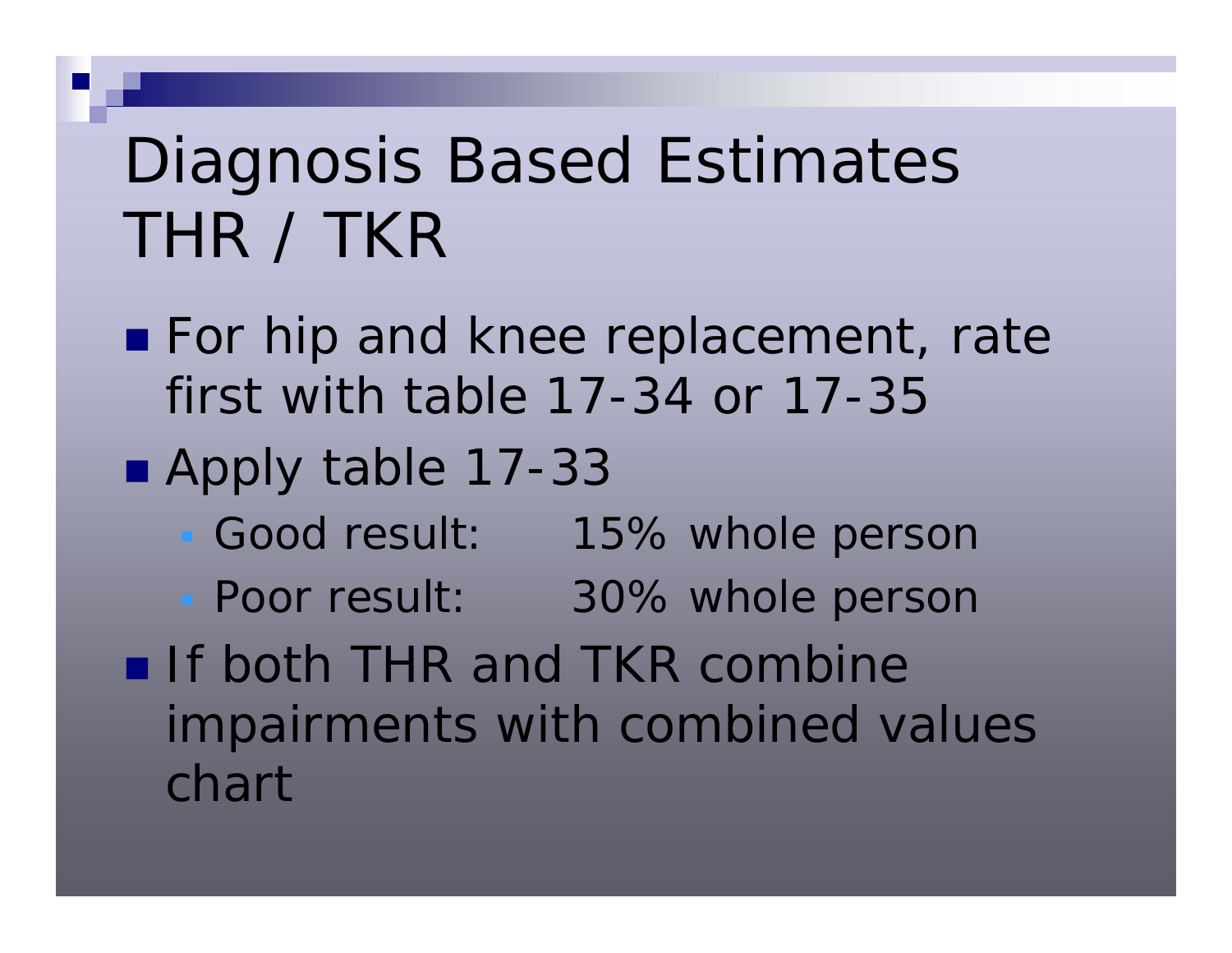# Diagnosis Based Estimates THR / TKR

- **For hip and knee replacement, rate** first with table 17-34 or 17-35
- Apply table 17-33
	- Good result: 15% whole person
	- **Poor result:** 30% whole person
- If both THR and TKR combine impairments with combined values chart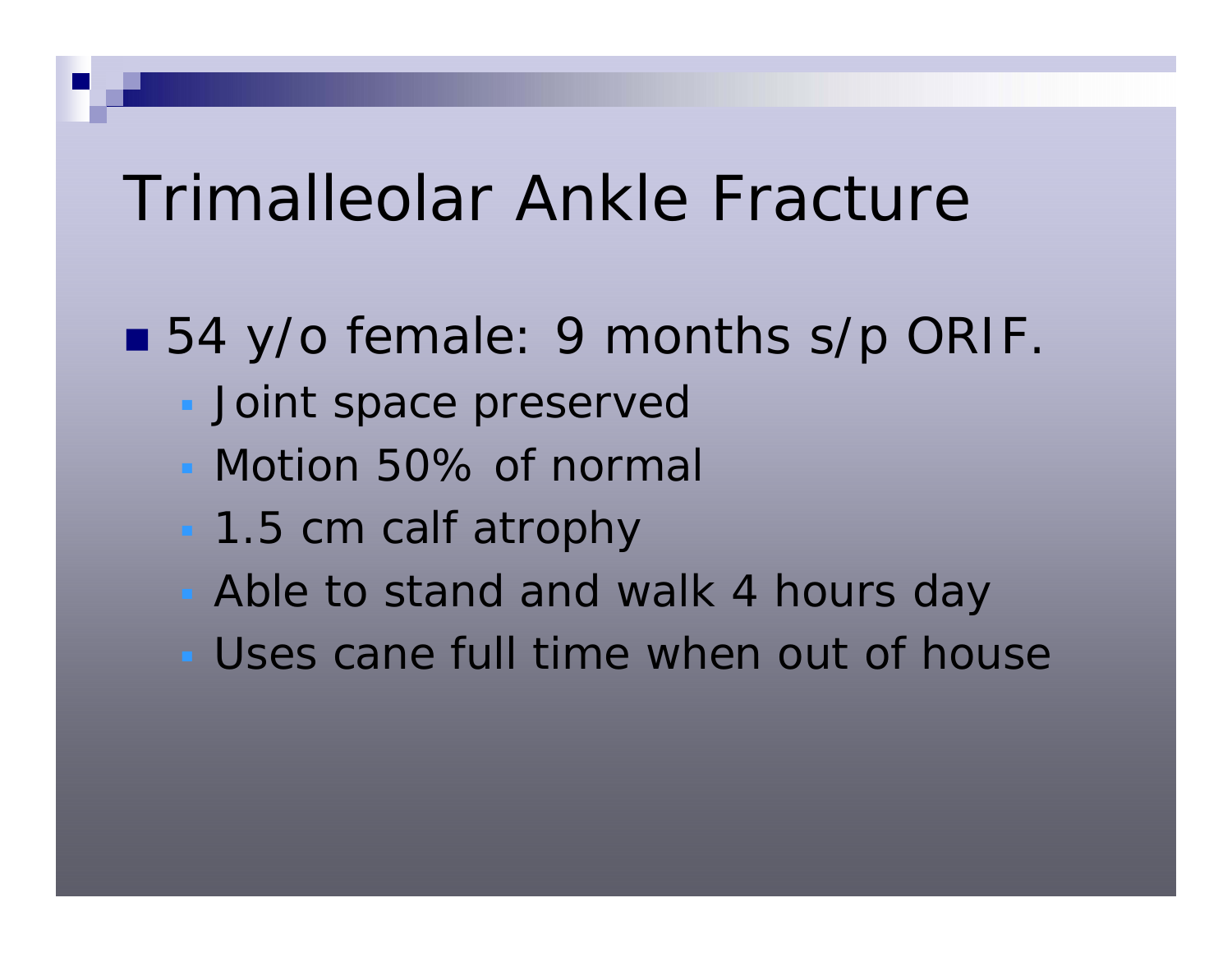## Trimalleolar Ankle Fracture

- 54 y/o female: 9 months s/p ORIF
	- **Joint space preserved**
	- Motion 50% of normal
	- 1.5 cm calf atrophy
	- Able to stand and walk 4 hours day
	- Uses cane full time when out of house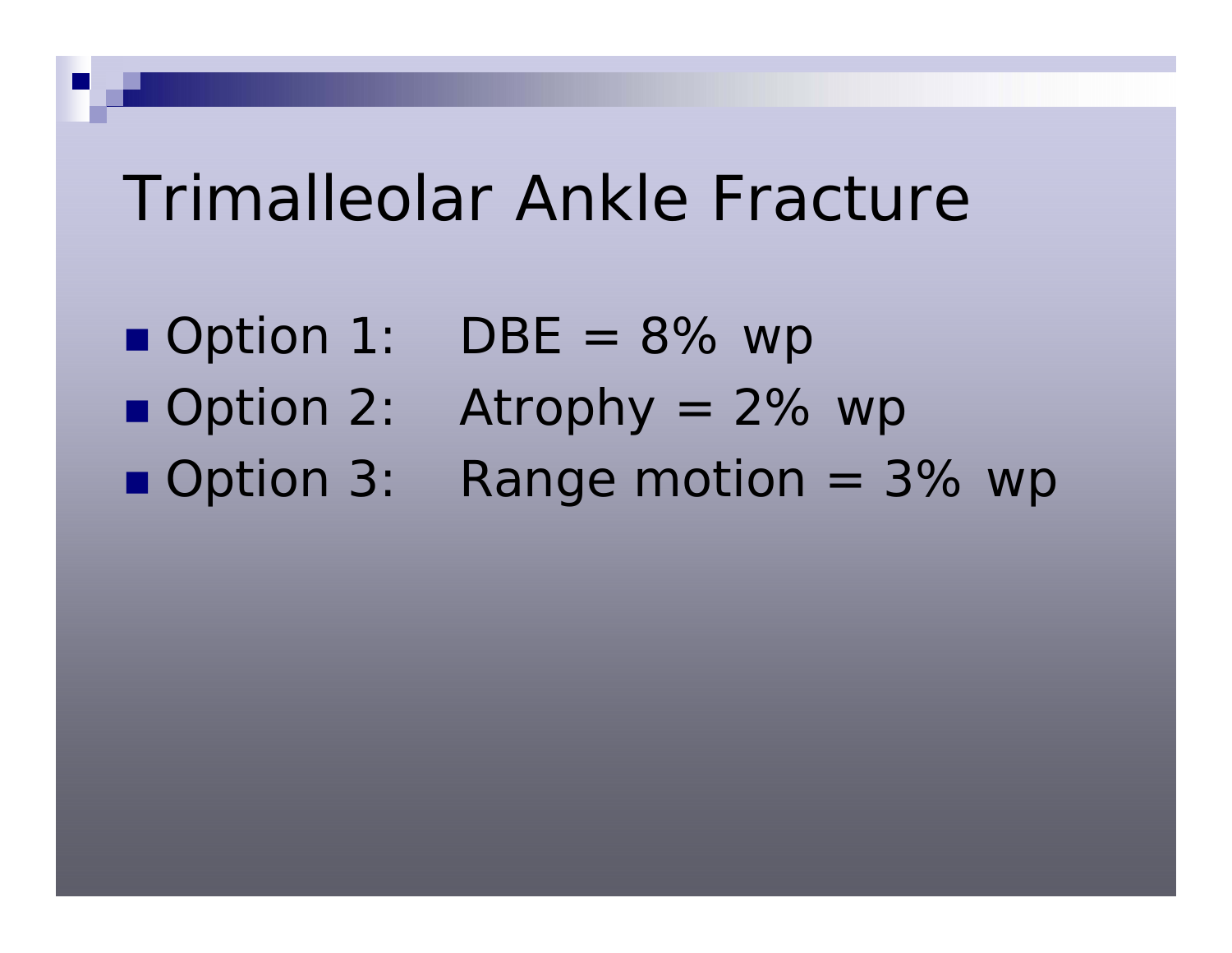## Trimalleolar Ankle Fracture

- Option 1:  $DBE = 8%$  wp
- Option 2:
- Option 3:
- Atrophy  $= 2\%$  wp
- Range motion  $=$  3% wp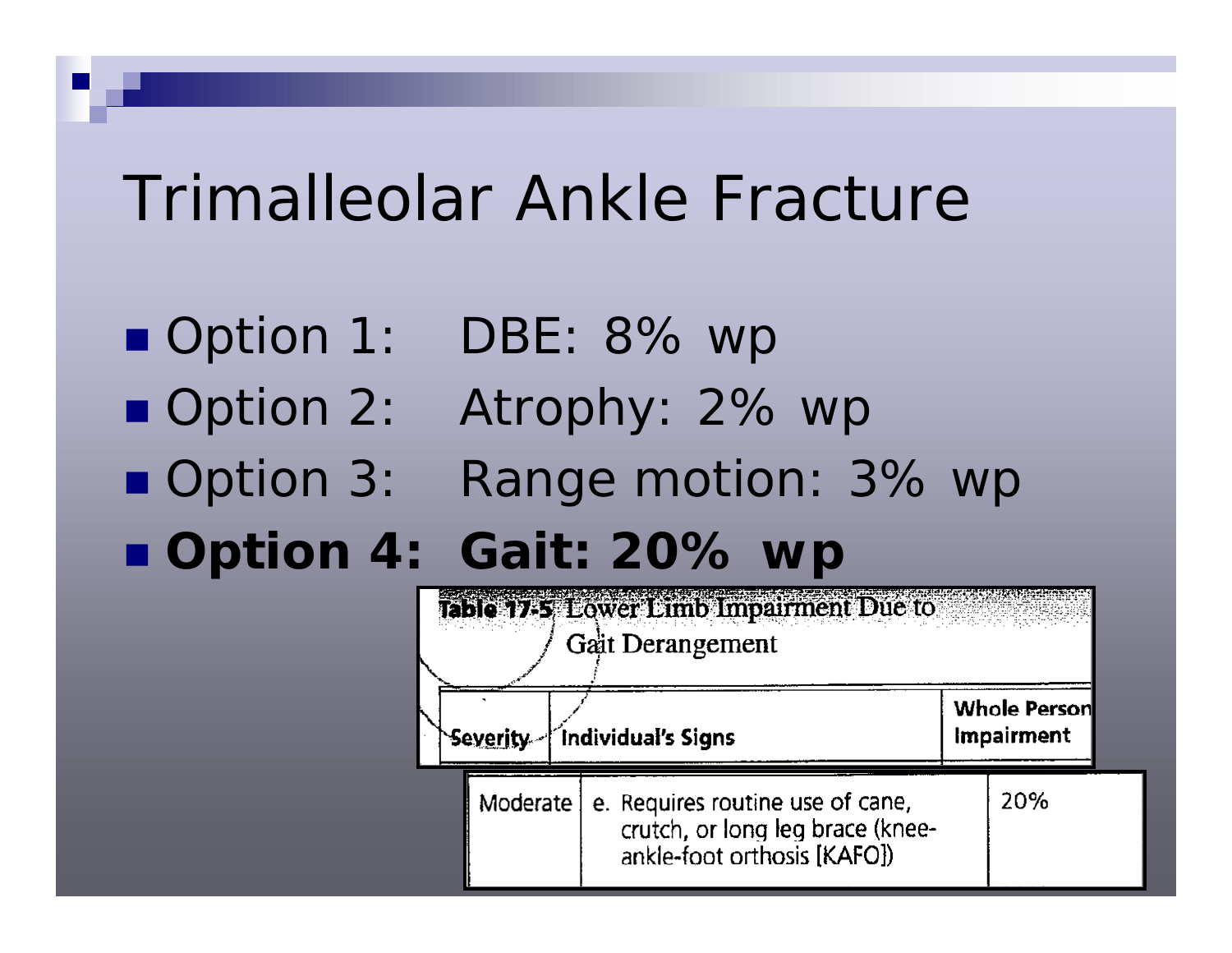## Trimalleolar Ankle Fracture

- Option 1: DBE: 8% wp
- Option 2: Atrophy: 2% wp
- 
- Option 3: Range motion: 3% wp
- **Option 4: Gait: 20% wp**

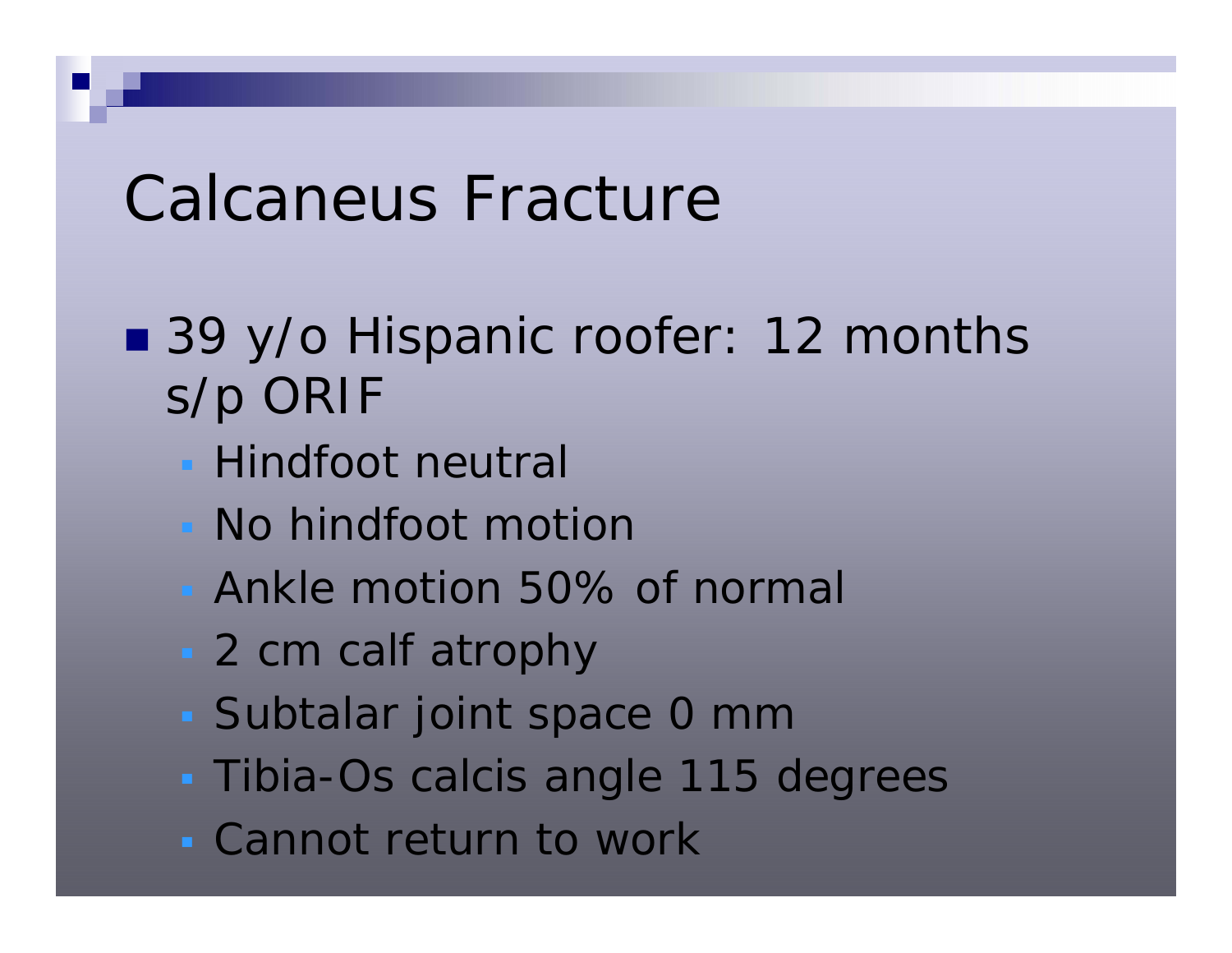- 39 y/o Hispanic roofer: 12 months s/p ORIF
	- **Hindfoot neutral**
	- No hindfoot motion
	- Ankle motion 50% of normal
	- 2 cm calf atrophy
	- Subtalar joint space 0 mm
	- Tibia-Os calcis angle 115 degrees
	- Cannot return to work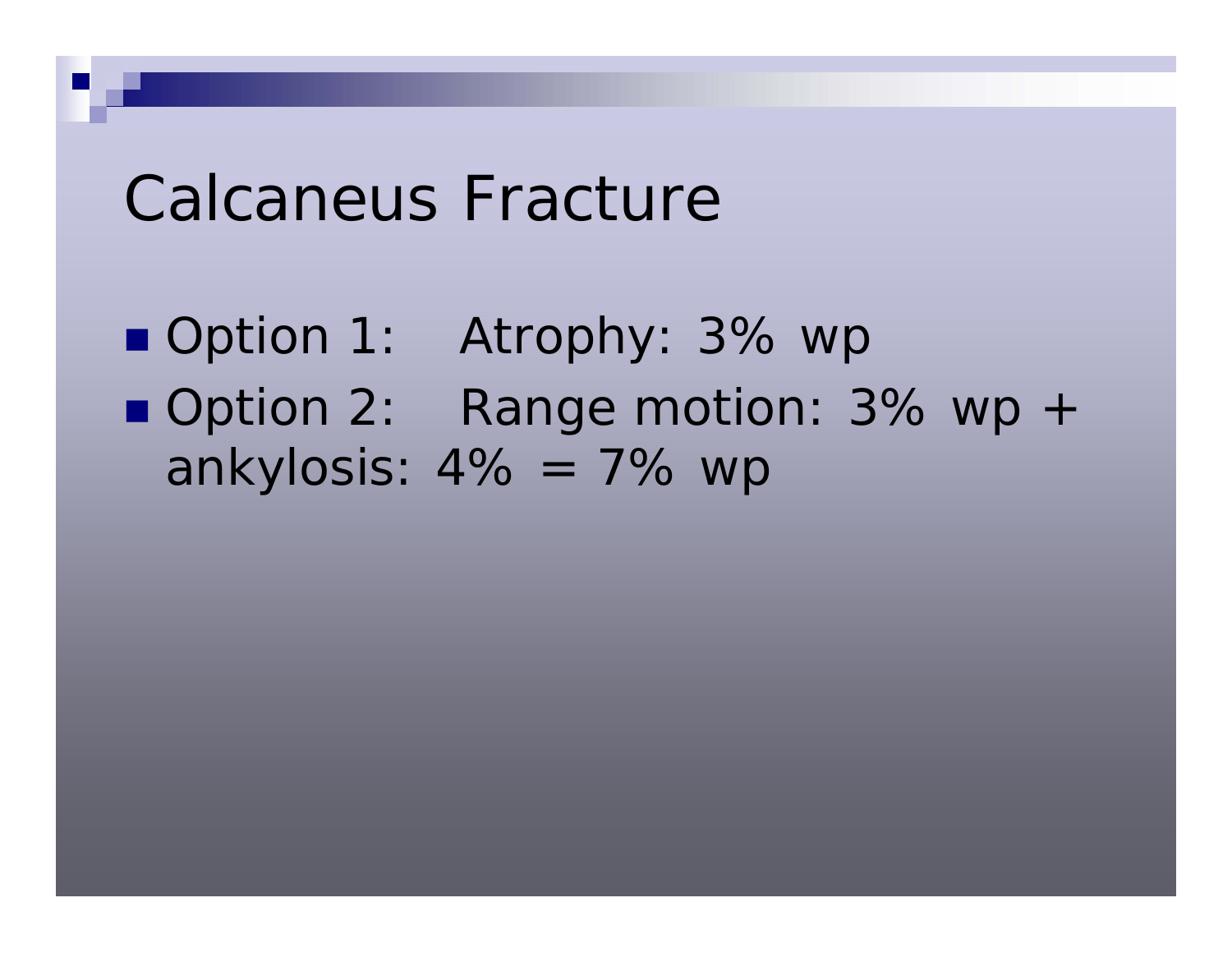■ Option 1: Atrophy: 3% wp ■ Option 2: Range motion: 3% wp + ankylosis:  $4\% = 7\%$  wp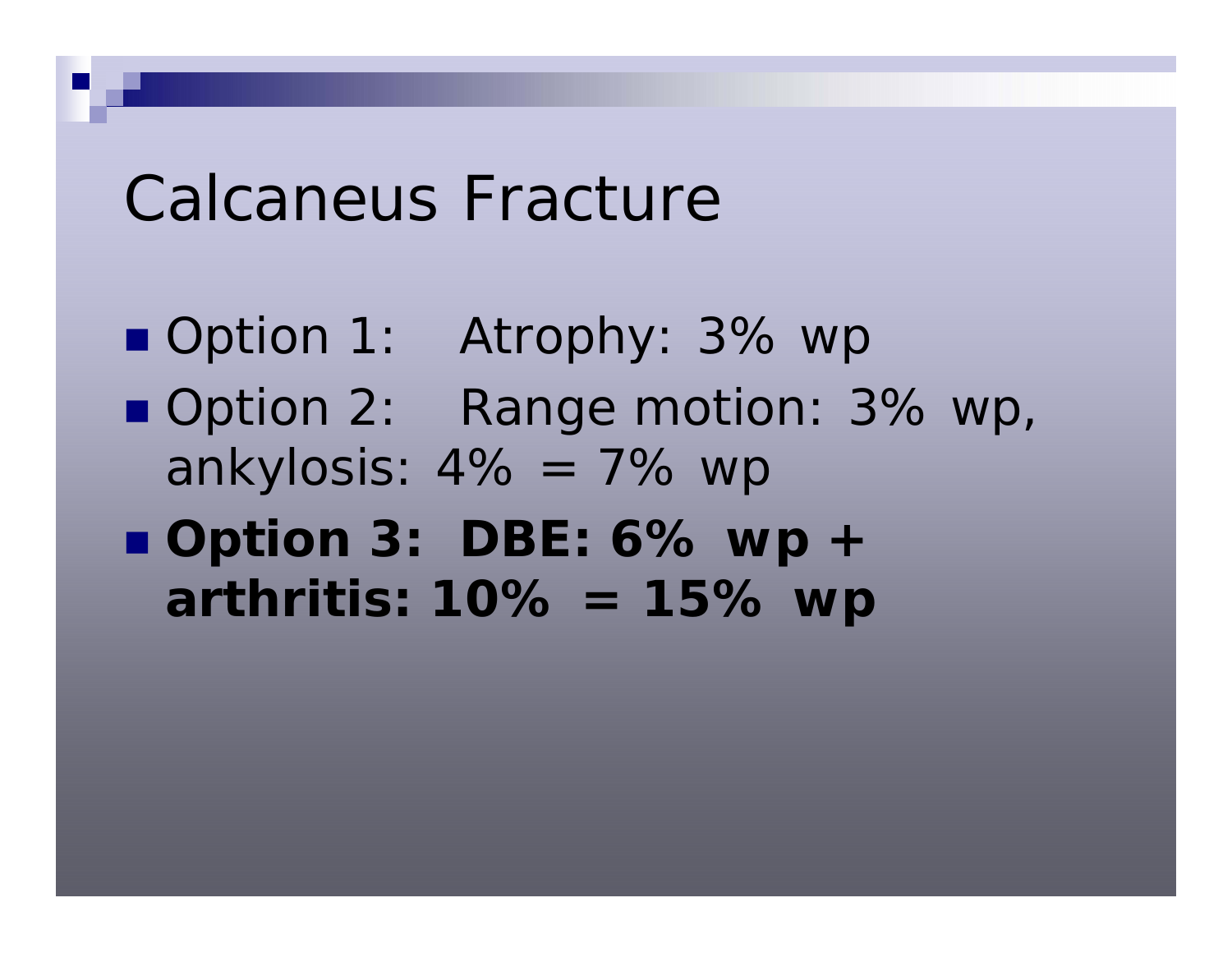- Option 1: Atrophy: 3% wp
- Option 2: Range motion: 3% wp, ankylosis:  $4\% = 7\%$  wp
- **Option 3: DBE: 6% wp + arthritis: 10% = 15% wp**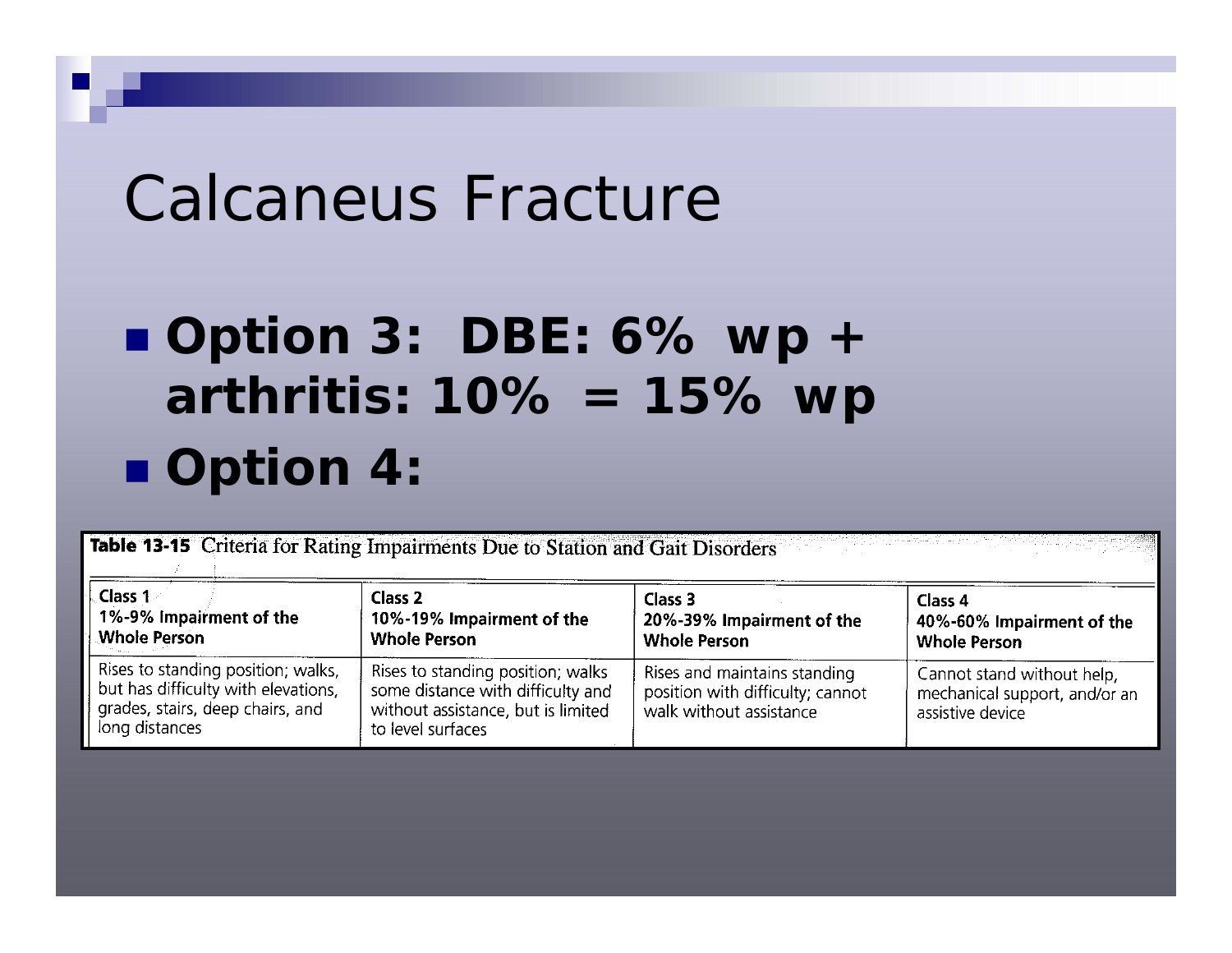## **Option 3: DBE: 6% wp + arthritis: 10% = 15% wp Option 4:**

Table 13-15 Criteria for Rating Impairments Due to Station and Gait Disorders

| Class 1                                                                                                                         | Class <sub>2</sub>                                                                                                                | Class 3                                                                                     | Class 4                                                                         |
|---------------------------------------------------------------------------------------------------------------------------------|-----------------------------------------------------------------------------------------------------------------------------------|---------------------------------------------------------------------------------------------|---------------------------------------------------------------------------------|
| 1%-9% Impairment of the                                                                                                         | 10%-19% Impairment of the                                                                                                         | 20%-39% Impairment of the                                                                   | 40%-60% Impairment of the                                                       |
| <b>Whole Person</b>                                                                                                             | <b>Whole Person</b>                                                                                                               | <b>Whole Person</b>                                                                         | <b>Whole Person</b>                                                             |
| Rises to standing position; walks,<br>but has difficulty with elevations,<br>grades, stairs, deep chairs, and<br>long distances | Rises to standing position; walks<br>some distance with difficulty and<br>without assistance, but is limited<br>to level surfaces | Rises and maintains standing<br>position with difficulty; cannot<br>walk without assistance | Cannot stand without help,<br>mechanical support, and/or an<br>assistive device |